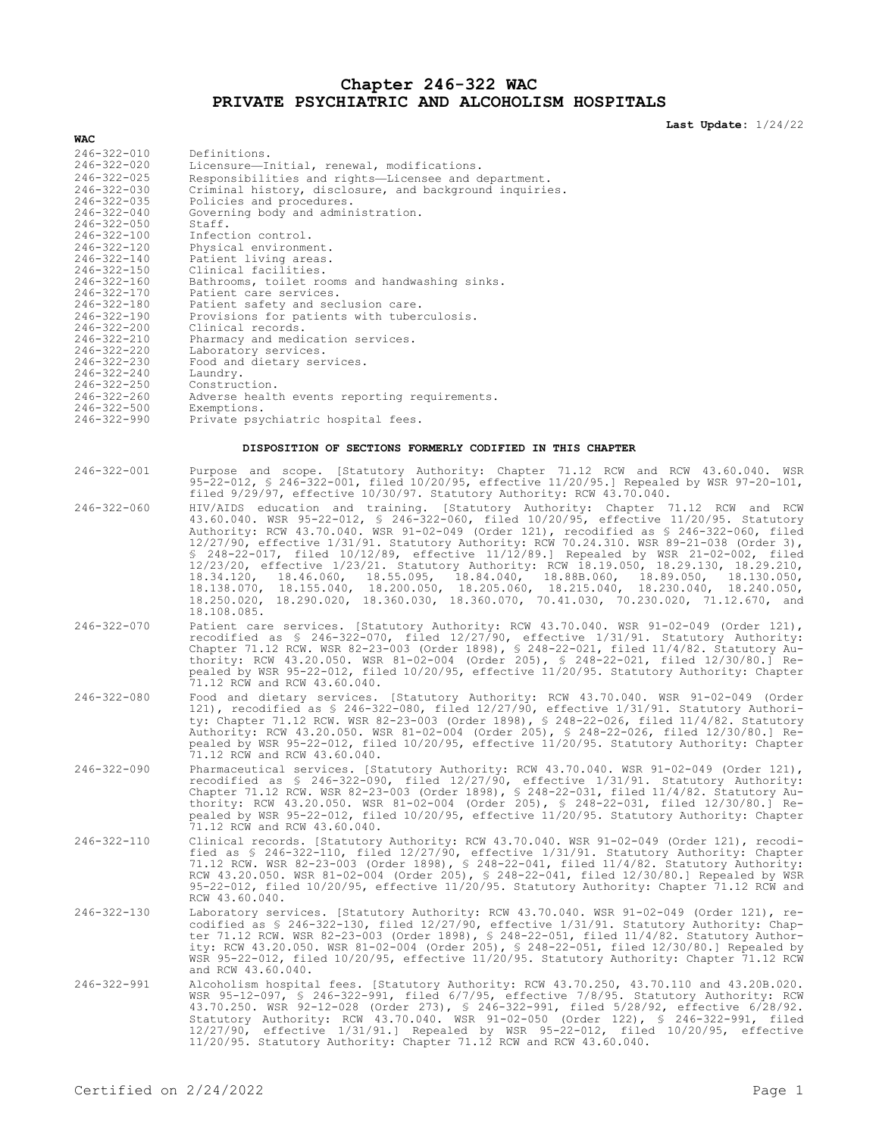### **Chapter 246-322 WAC PRIVATE PSYCHIATRIC AND ALCOHOLISM HOSPITALS**

**Last Update:** 1/24/22

| WAC                                                       |                                                                                                                                                                                        |  |  |  |  |
|-----------------------------------------------------------|----------------------------------------------------------------------------------------------------------------------------------------------------------------------------------------|--|--|--|--|
| $246 - 322 - 010$                                         | Definitions.                                                                                                                                                                           |  |  |  |  |
| $246 - 322 - 020$                                         | Licensure-Initial, renewal, modifications.                                                                                                                                             |  |  |  |  |
| $246 - 322 - 025$                                         | Responsibilities and rights-Licensee and department.                                                                                                                                   |  |  |  |  |
| $246 - 322 - 030$<br>$246 - 322 - 035$                    | Criminal history, disclosure, and background inquiries.<br>Policies and procedures.                                                                                                    |  |  |  |  |
| $246 - 322 - 040$<br>$246 - 322 - 050$                    | Governing body and administration.<br>Staff.                                                                                                                                           |  |  |  |  |
| 246-322-100                                               | Infection control.                                                                                                                                                                     |  |  |  |  |
| $246 - 322 - 120$                                         | Physical environment.                                                                                                                                                                  |  |  |  |  |
| $246 - 322 - 140$<br>$246 - 322 - 150$                    | Patient living areas.                                                                                                                                                                  |  |  |  |  |
| $246 - 322 - 160$                                         | Clinical facilities.<br>Bathrooms, toilet rooms and handwashing sinks.                                                                                                                 |  |  |  |  |
| $246 - 322 - 170$                                         | Patient care services.                                                                                                                                                                 |  |  |  |  |
| $246 - 322 - 180$                                         | Patient safety and seclusion care.                                                                                                                                                     |  |  |  |  |
| $246 - 322 - 190$<br>$246 - 322 - 200$                    | Provisions for patients with tuberculosis.<br>Clinical records.                                                                                                                        |  |  |  |  |
| 246-322-210                                               | Pharmacy and medication services.                                                                                                                                                      |  |  |  |  |
| $246 - 322 - 220$                                         | Laboratory services.                                                                                                                                                                   |  |  |  |  |
| $246 - 322 - 230$                                         | Food and dietary services.                                                                                                                                                             |  |  |  |  |
| $246 - 322 - 240$<br>$246 - 322 - 250$                    | Laundry.<br>Construction.                                                                                                                                                              |  |  |  |  |
| $246 - 322 - 260$                                         | Adverse health events reporting requirements.                                                                                                                                          |  |  |  |  |
| $246 - 322 - 500$                                         | Exemptions.                                                                                                                                                                            |  |  |  |  |
|                                                           | Private psychiatric hospital fees.<br>$246 - 322 - 990$                                                                                                                                |  |  |  |  |
| DISPOSITION OF SECTIONS FORMERLY CODIFIED IN THIS CHAPTER |                                                                                                                                                                                        |  |  |  |  |
| $246 - 322 - 001$                                         | Purpose and scope. [Statutory Authority: Chapter 71.12 RCW and RCW 43.60.040. WSR                                                                                                      |  |  |  |  |
|                                                           | 95-22-012, § 246-322-001, filed 10/20/95, effective 11/20/95.] Repealed by WSR 97-20-101,<br>filed 9/29/97, effective 10/30/97. Statutory Authority: RCW 43.70.040.                    |  |  |  |  |
| $246 - 322 - 060$                                         | HIV/AIDS education and training. [Statutory Authority: Chapter 71.12 RCW and RCW                                                                                                       |  |  |  |  |
|                                                           | 43.60.040. WSR 95-22-012, § 246-322-060, filed 10/20/95, effective 11/20/95. Statutory<br>Authority: RCW 43.70.040. WSR 91-02-049 (Order 121), recodified as \$ 246-322-060, filed     |  |  |  |  |
|                                                           | 12/27/90, effective 1/31/91. Statutory Authority: RCW 70.24.310. WSR 89-21-038 (Order 3),                                                                                              |  |  |  |  |
|                                                           | \$ 248-22-017, filed 10/12/89, effective 11/12/89.] Repealed by WSR 21-02-002, filed                                                                                                   |  |  |  |  |
|                                                           | 12/23/20, effective 1/23/21. Statutory Authority: RCW 18.19.050, 18.29.130, 18.29.210,<br>$18.34.120, 18.46.060, 18.55.095, 18.84.040, 18.88B.060, 18.89.050, 18.130.050,$             |  |  |  |  |
|                                                           | 18.138.070, 18.155.040, 18.200.050, 18.205.060, 18.215.040, 18.230.040, 18.240.050,                                                                                                    |  |  |  |  |
|                                                           | 18.250.020, 18.290.020, 18.360.030, 18.360.070, 70.41.030, 70.230.020, 71.12.670, and                                                                                                  |  |  |  |  |
|                                                           | 18.108.085.                                                                                                                                                                            |  |  |  |  |
| $246 - 322 - 070$                                         | Patient care services. [Statutory Authority: RCW 43.70.040. WSR 91-02-049 (Order 121),<br>recodified as \$ 246-322-070, filed 12/27/90, effective 1/31/91. Statutory Authority:        |  |  |  |  |
|                                                           | Chapter 71.12 RCW. WSR 82-23-003 (Order 1898), § 248-22-021, filed 11/4/82. Statutory Au-                                                                                              |  |  |  |  |
|                                                           | thority: RCW 43.20.050. WSR 81-02-004 (Order 205), \$ 248-22-021, filed 12/30/80.] Re-                                                                                                 |  |  |  |  |
|                                                           | pealed by WSR 95-22-012, filed 10/20/95, effective 11/20/95. Statutory Authority: Chapter<br>71.12 RCW and RCW 43.60.040.                                                              |  |  |  |  |
| $246 - 322 - 080$                                         | Food and dietary services. [Statutory Authority: RCW 43.70.040. WSR 91-02-049 (Order                                                                                                   |  |  |  |  |
|                                                           | 121), recodified as $\frac{1}{2}$ 246-322-080, filed 12/27/90, effective 1/31/91. Statutory Authori-                                                                                   |  |  |  |  |
|                                                           | ty: Chapter 71.12 RCW. WSR 82-23-003 (Order 1898), § 248-22-026, filed 11/4/82. Statutory                                                                                              |  |  |  |  |
|                                                           | Authority: RCW 43.20.050. WSR 81-02-004 (Order 205), § 248-22-026, filed 12/30/80.] Re-                                                                                                |  |  |  |  |
|                                                           | pealed by WSR 95-22-012, filed 10/20/95, effective 11/20/95. Statutory Authority: Chapter<br>71.12 RCW and RCW 43.60.040.                                                              |  |  |  |  |
| $246 - 322 - 090$                                         | Pharmaceutical services. [Statutory Authority: RCW 43.70.040. WSR 91-02-049 (Order 121),                                                                                               |  |  |  |  |
|                                                           | recodified as $\frac{1}{2}$ 246-322-090, filed 12/27/90, effective 1/31/91. Statutory Authority:                                                                                       |  |  |  |  |
|                                                           | Chapter 71.12 RCW. WSR 82-23-003 (Order 1898), § 248-22-031, filed 11/4/82. Statutory Au-                                                                                              |  |  |  |  |
|                                                           | thority: RCW 43.20.050. WSR 81-02-004 (Order 205), § 248-22-031, filed 12/30/80.1 Re-<br>pealed by WSR 95-22-012, filed 10/20/95, effective 11/20/95. Statutory Authority: Chapter     |  |  |  |  |
|                                                           | 71.12 RCW and RCW 43.60.040.                                                                                                                                                           |  |  |  |  |
| $246 - 322 - 110$                                         | Clinical records. [Statutory Authority: RCW 43.70.040. WSR 91-02-049 (Order 121), recodi-                                                                                              |  |  |  |  |
|                                                           | fied as \$ 246-322-110, filed 12/27/90, effective 1/31/91. Statutory Authority: Chapter                                                                                                |  |  |  |  |
|                                                           | 71.12 RCW. WSR 82-23-003 (Order 1898), § 248-22-041, filed 11/4/82. Statutory Authority:<br>RCW 43.20.050. WSR 81-02-004 (Order 205), § 248-22-041, filed 12/30/80.] Repealed by WSR   |  |  |  |  |
|                                                           | 95-22-012, filed 10/20/95, effective 11/20/95. Statutory Authority: Chapter 71.12 RCW and                                                                                              |  |  |  |  |
|                                                           | RCW 43.60.040.                                                                                                                                                                         |  |  |  |  |
| $246 - 322 - 130$                                         | Laboratory services. [Statutory Authority: RCW 43.70.040. WSR 91-02-049 (Order 121), re-                                                                                               |  |  |  |  |
|                                                           | codified as \$ 246-322-130, filed 12/27/90, effective 1/31/91. Statutory Authority: Chap-                                                                                              |  |  |  |  |
|                                                           | ter 71.12 RCW. WSR 82-23-003 (Order 1898), § 248-22-051, filed 11/4/82. Statutory Author-<br>ity: RCW 43.20.050. WSR 81-02-004 (Order 205), § 248-22-051, filed 12/30/80.] Repealed by |  |  |  |  |
|                                                           | WSR 95-22-012, filed 10/20/95, effective 11/20/95. Statutory Authority: Chapter 71.12 RCW                                                                                              |  |  |  |  |
|                                                           | and RCW 43.60.040.                                                                                                                                                                     |  |  |  |  |
| $246 - 322 - 991$                                         | Alcoholism hospital fees. [Statutory Authority: RCW 43.70.250, 43.70.110 and 43.20B.020.                                                                                               |  |  |  |  |
|                                                           | WSR 95-12-097, S 246-322-991, filed 6/7/95, effective 7/8/95. Statutory Authority: RCW<br>43.70.250. WSR 92-12-028 (Order 273), § 246-322-991, filed 5/28/92, effective 6/28/92.       |  |  |  |  |
|                                                           | Statutory Authority: RCW 43.70.040. WSR 91-02-050 (Order 122), \$ 246-322-991, filed                                                                                                   |  |  |  |  |
|                                                           | $12/27/90$ , effective $1/31/91$ .] Repealed by WSR 95-22-012, filed $10/20/95$ , effective                                                                                            |  |  |  |  |
|                                                           | 11/20/95. Statutory Authority: Chapter 71.12 RCW and RCW 43.60.040.                                                                                                                    |  |  |  |  |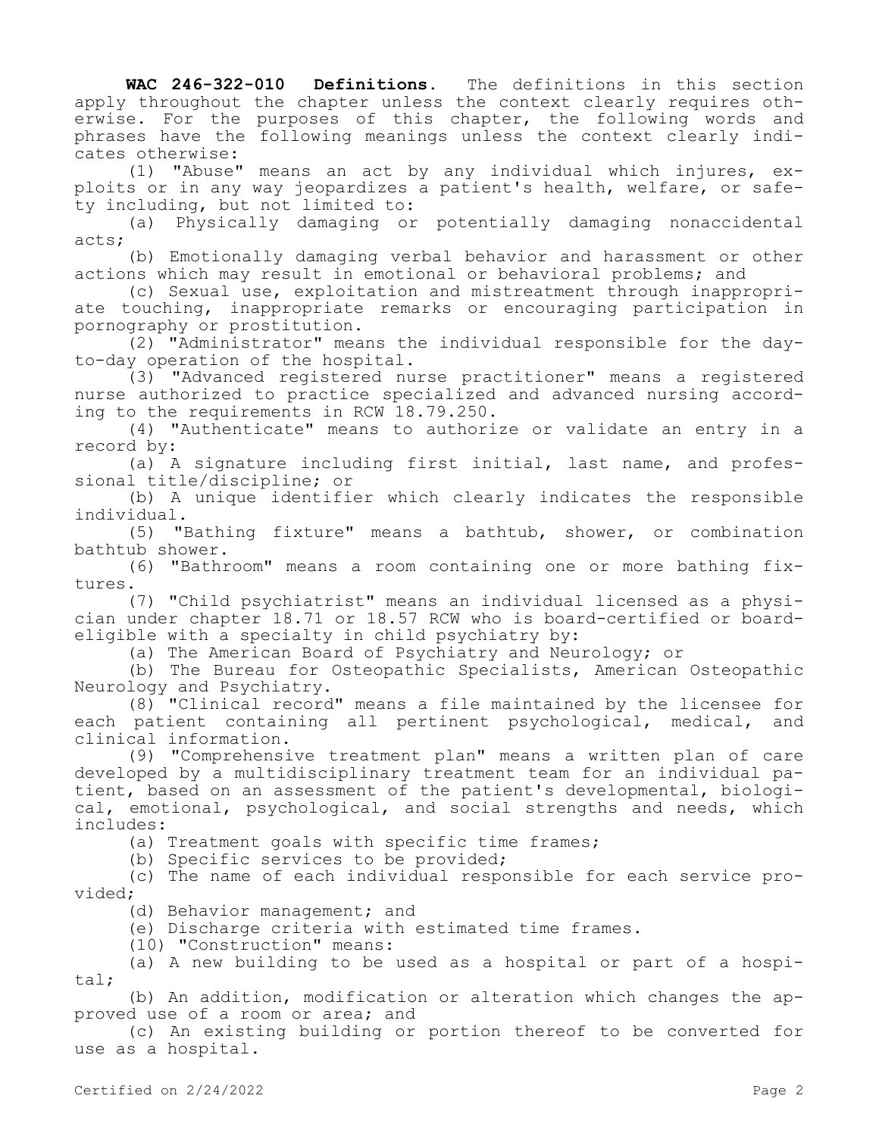**WAC 246-322-010 Definitions.** The definitions in this section apply throughout the chapter unless the context clearly requires otherwise. For the purposes of this chapter, the following words and phrases have the following meanings unless the context clearly indicates otherwise:

(1) "Abuse" means an act by any individual which injures, exploits or in any way jeopardizes a patient's health, welfare, or safety including, but not limited to:

(a) Physically damaging or potentially damaging nonaccidental acts;

(b) Emotionally damaging verbal behavior and harassment or other actions which may result in emotional or behavioral problems; and

(c) Sexual use, exploitation and mistreatment through inappropriate touching, inappropriate remarks or encouraging participation in pornography or prostitution.

(2) "Administrator" means the individual responsible for the dayto-day operation of the hospital.

(3) "Advanced registered nurse practitioner" means a registered nurse authorized to practice specialized and advanced nursing according to the requirements in RCW 18.79.250.

(4) "Authenticate" means to authorize or validate an entry in a record by:

(a) A signature including first initial, last name, and professional title/discipline; or

(b) A unique identifier which clearly indicates the responsible individual.

(5) "Bathing fixture" means a bathtub, shower, or combination bathtub shower.

(6) "Bathroom" means a room containing one or more bathing fixtures.

(7) "Child psychiatrist" means an individual licensed as a physician under chapter 18.71 or 18.57 RCW who is board-certified or boardeligible with a specialty in child psychiatry by:

(a) The American Board of Psychiatry and Neurology; or

(b) The Bureau for Osteopathic Specialists, American Osteopathic Neurology and Psychiatry.

(8) "Clinical record" means a file maintained by the licensee for each patient containing all pertinent psychological, medical, and clinical information.

(9) "Comprehensive treatment plan" means a written plan of care developed by a multidisciplinary treatment team for an individual patient, based on an assessment of the patient's developmental, biological, emotional, psychological, and social strengths and needs, which includes:

(a) Treatment goals with specific time frames;

(b) Specific services to be provided;

(c) The name of each individual responsible for each service provided;

(d) Behavior management; and

(e) Discharge criteria with estimated time frames.

(10) "Construction" means:

(a) A new building to be used as a hospital or part of a hospital;

(b) An addition, modification or alteration which changes the approved use of a room or area; and

(c) An existing building or portion thereof to be converted for use as a hospital.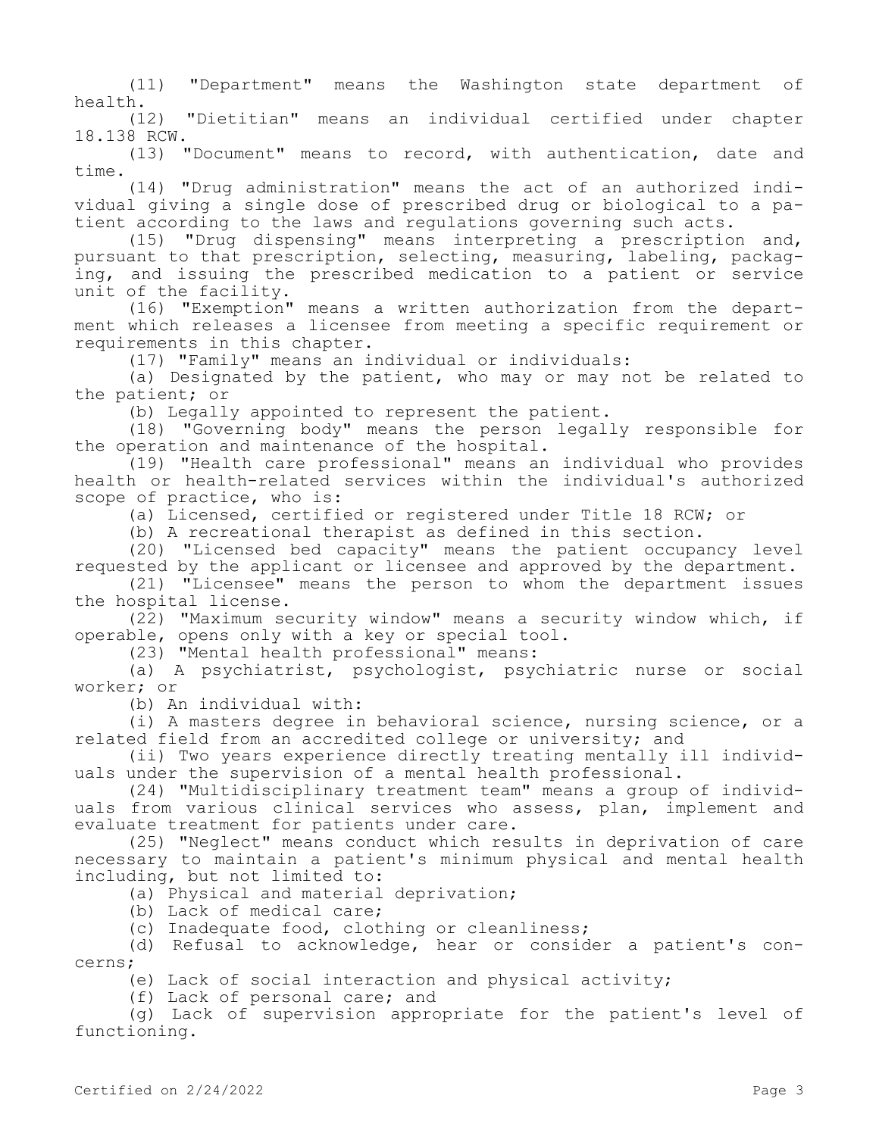(11) "Department" means the Washington state department of health.

(12) "Dietitian" means an individual certified under chapter 18.138 RCW.

(13) "Document" means to record, with authentication, date and time.

(14) "Drug administration" means the act of an authorized individual giving a single dose of prescribed drug or biological to a patient according to the laws and regulations governing such acts.

(15) "Drug dispensing" means interpreting a prescription and, pursuant to that prescription, selecting, measuring, labeling, packaging, and issuing the prescribed medication to a patient or service unit of the facility.

(16) "Exemption" means a written authorization from the department which releases a licensee from meeting a specific requirement or requirements in this chapter.

(17) "Family" means an individual or individuals:

(a) Designated by the patient, who may or may not be related to the patient; or

(b) Legally appointed to represent the patient.

(18) "Governing body" means the person legally responsible for the operation and maintenance of the hospital.

(19) "Health care professional" means an individual who provides health or health-related services within the individual's authorized scope of practice, who is:

(a) Licensed, certified or registered under Title 18 RCW; or

(b) A recreational therapist as defined in this section.

(20) "Licensed bed capacity" means the patient occupancy level requested by the applicant or licensee and approved by the department.

(21) "Licensee" means the person to whom the department issues the hospital license.

(22) "Maximum security window" means a security window which, if operable, opens only with a key or special tool.

(23) "Mental health professional" means:

(a) A psychiatrist, psychologist, psychiatric nurse or social worker; or

(b) An individual with:

(i) A masters degree in behavioral science, nursing science, or a related field from an accredited college or university; and

(ii) Two years experience directly treating mentally ill individuals under the supervision of a mental health professional.

(24) "Multidisciplinary treatment team" means a group of individuals from various clinical services who assess, plan, implement and evaluate treatment for patients under care.

(25) "Neglect" means conduct which results in deprivation of care necessary to maintain a patient's minimum physical and mental health including, but not limited to:

(a) Physical and material deprivation;

(b) Lack of medical care;

(c) Inadequate food, clothing or cleanliness;

(d) Refusal to acknowledge, hear or consider a patient's concerns;

(e) Lack of social interaction and physical activity;

(f) Lack of personal care; and

(g) Lack of supervision appropriate for the patient's level of functioning.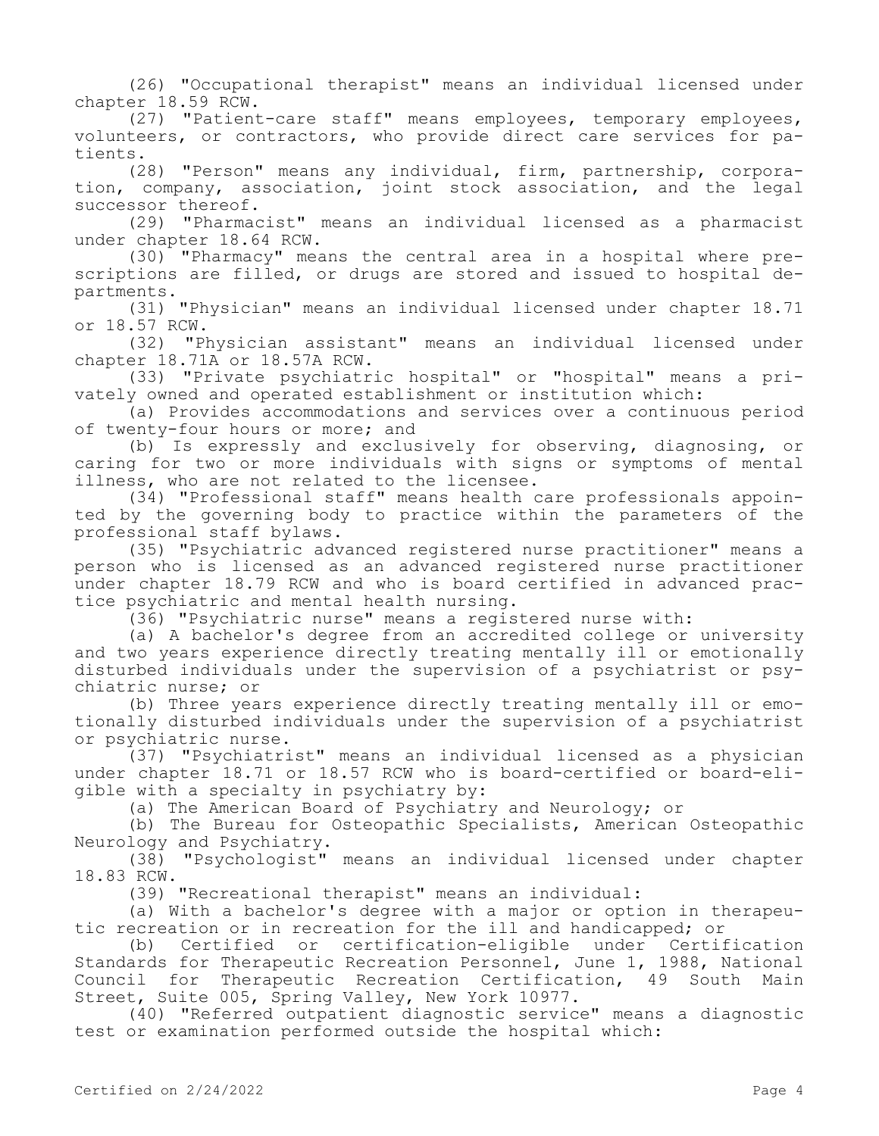(26) "Occupational therapist" means an individual licensed under chapter 18.59 RCW.

(27) "Patient-care staff" means employees, temporary employees, volunteers, or contractors, who provide direct care services for patients.

(28) "Person" means any individual, firm, partnership, corporation, company, association, joint stock association, and the legal successor thereof.

(29) "Pharmacist" means an individual licensed as a pharmacist under chapter 18.64 RCW.

(30) "Pharmacy" means the central area in a hospital where prescriptions are filled, or drugs are stored and issued to hospital departments.

(31) "Physician" means an individual licensed under chapter 18.71 or 18.57 RCW.

(32) "Physician assistant" means an individual licensed under chapter 18.71A or 18.57A RCW.

(33) "Private psychiatric hospital" or "hospital" means a privately owned and operated establishment or institution which:

(a) Provides accommodations and services over a continuous period of twenty-four hours or more; and

(b) Is expressly and exclusively for observing, diagnosing, or caring for two or more individuals with signs or symptoms of mental illness, who are not related to the licensee.

(34) "Professional staff" means health care professionals appointed by the governing body to practice within the parameters of the professional staff bylaws.

(35) "Psychiatric advanced registered nurse practitioner" means a person who is licensed as an advanced registered nurse practitioner under chapter 18.79 RCW and who is board certified in advanced practice psychiatric and mental health nursing.

(36) "Psychiatric nurse" means a registered nurse with:

(a) A bachelor's degree from an accredited college or university and two years experience directly treating mentally ill or emotionally disturbed individuals under the supervision of a psychiatrist or psychiatric nurse; or

(b) Three years experience directly treating mentally ill or emotionally disturbed individuals under the supervision of a psychiatrist or psychiatric nurse.

(37) "Psychiatrist" means an individual licensed as a physician under chapter 18.71 or 18.57 RCW who is board-certified or board-eligible with a specialty in psychiatry by:

(a) The American Board of Psychiatry and Neurology; or

(b) The Bureau for Osteopathic Specialists, American Osteopathic Neurology and Psychiatry.

(38) "Psychologist" means an individual licensed under chapter 18.83 RCW.

(39) "Recreational therapist" means an individual:

(a) With a bachelor's degree with a major or option in therapeutic recreation or in recreation for the ill and handicapped; or

(b) Certified or certification-eligible under Certification Standards for Therapeutic Recreation Personnel, June 1, 1988, National Council for Therapeutic Recreation Certification, 49 South Main Street, Suite 005, Spring Valley, New York 10977.

(40) "Referred outpatient diagnostic service" means a diagnostic test or examination performed outside the hospital which: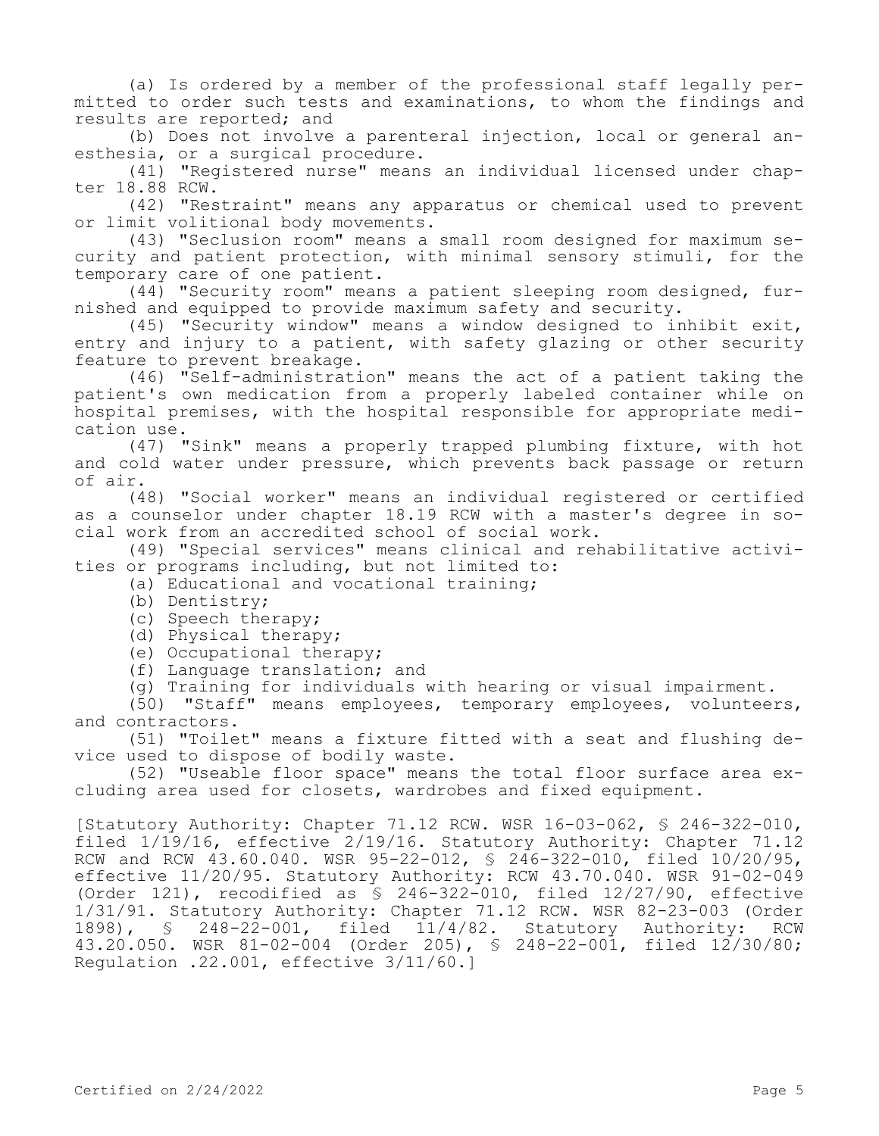(a) Is ordered by a member of the professional staff legally permitted to order such tests and examinations, to whom the findings and results are reported; and

(b) Does not involve a parenteral injection, local or general anesthesia, or a surgical procedure.

(41) "Registered nurse" means an individual licensed under chapter 18.88 RCW.

(42) "Restraint" means any apparatus or chemical used to prevent or limit volitional body movements.

(43) "Seclusion room" means a small room designed for maximum security and patient protection, with minimal sensory stimuli, for the temporary care of one patient.

 $(44)$  "Security room" means a patient sleeping room designed, furnished and equipped to provide maximum safety and security.

(45) "Security window" means a window designed to inhibit exit, entry and injury to a patient, with safety glazing or other security feature to prevent breakage.

(46) "Self-administration" means the act of a patient taking the patient's own medication from a properly labeled container while on hospital premises, with the hospital responsible for appropriate medication use.

(47) "Sink" means a properly trapped plumbing fixture, with hot and cold water under pressure, which prevents back passage or return of air.

(48) "Social worker" means an individual registered or certified as a counselor under chapter 18.19 RCW with a master's degree in social work from an accredited school of social work.

(49) "Special services" means clinical and rehabilitative activities or programs including, but not limited to:

(a) Educational and vocational training;

- (b) Dentistry;
- (c) Speech therapy;
- (d) Physical therapy;

(e) Occupational therapy;

(f) Language translation; and

(g) Training for individuals with hearing or visual impairment.

(50) "Staff" means employees, temporary employees, volunteers, and contractors.

(51) "Toilet" means a fixture fitted with a seat and flushing device used to dispose of bodily waste.

(52) "Useable floor space" means the total floor surface area excluding area used for closets, wardrobes and fixed equipment.

[Statutory Authority: Chapter 71.12 RCW. WSR 16-03-062, § 246-322-010, filed 1/19/16, effective 2/19/16. Statutory Authority: Chapter 71.12 RCW and RCW 43.60.040. WSR 95-22-012, § 246-322-010, filed 10/20/95, effective 11/20/95. Statutory Authority: RCW 43.70.040. WSR 91-02-049 (Order 121), recodified as  $\frac{1}{8}$  246-322-010, filed 12/27/90, effective 1/31/91. Statutory Authority: Chapter 71.12 RCW. WSR 82-23-003 (Order 1898), § 248-22-001, filed 11/4/82. Statutory Authority: RCW 43.20.050. WSR 81-02-004 (Order 205), § 248-22-001, filed 12/30/80; Regulation .22.001, effective 3/11/60.]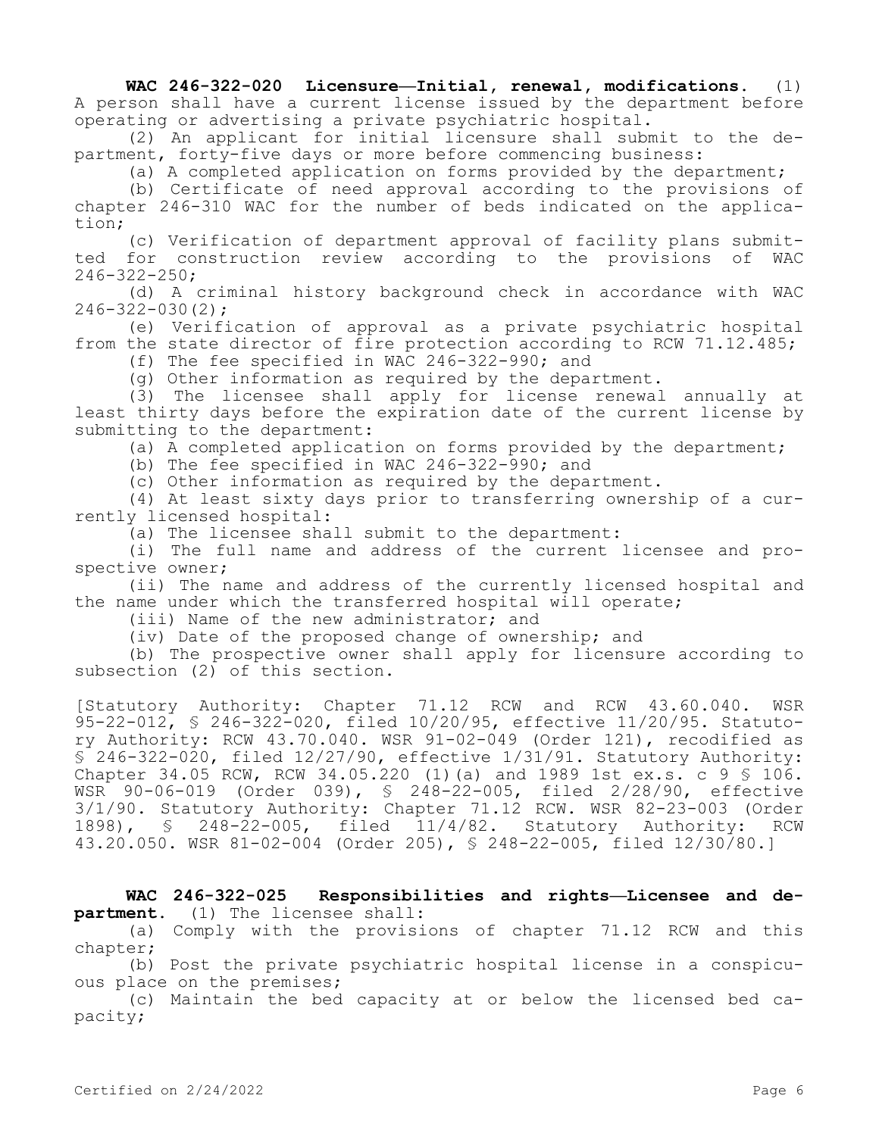**WAC 246-322-020 Licensure—Initial, renewal, modifications.** (1) A person shall have a current license issued by the department before operating or advertising a private psychiatric hospital.

(2) An applicant for initial licensure shall submit to the department, forty-five days or more before commencing business:

(a) A completed application on forms provided by the department;

(b) Certificate of need approval according to the provisions of chapter 246-310 WAC for the number of beds indicated on the application;

(c) Verification of department approval of facility plans submitted for construction review according to the provisions of WAC 246-322-250;

(d) A criminal history background check in accordance with WAC 246-322-030(2);

(e) Verification of approval as a private psychiatric hospital from the state director of fire protection according to RCW 71.12.485;

(f) The fee specified in WAC 246-322-990; and

(g) Other information as required by the department.

(3) The licensee shall apply for license renewal annually at least thirty days before the expiration date of the current license by submitting to the department:

(a) A completed application on forms provided by the department;

(b) The fee specified in WAC 246-322-990; and

(c) Other information as required by the department.

(4) At least sixty days prior to transferring ownership of a currently licensed hospital:

(a) The licensee shall submit to the department:

(i) The full name and address of the current licensee and prospective owner;

(ii) The name and address of the currently licensed hospital and the name under which the transferred hospital will operate;

(iii) Name of the new administrator; and

(iv) Date of the proposed change of ownership; and

(b) The prospective owner shall apply for licensure according to subsection (2) of this section.

[Statutory Authority: Chapter 71.12 RCW and RCW 43.60.040. WSR 95-22-012, § 246-322-020, filed 10/20/95, effective 11/20/95. Statutory Authority: RCW 43.70.040. WSR 91-02-049 (Order 121), recodified as § 246-322-020, filed 12/27/90, effective 1/31/91. Statutory Authority: Chapter 34.05 RCW, RCW 34.05.220 (1)(a) and 1989 1st ex.s. c 9 § 106. WSR 90-06-019 (Order 039), § 248-22-005, filed 2/28/90, effective 3/1/90. Statutory Authority: Chapter 71.12 RCW. WSR 82-23-003 (Order 1898), § 248-22-005, filed 11/4/82. Statutory Authority: RCW 43.20.050. WSR 81-02-004 (Order 205), § 248-22-005, filed 12/30/80.]

**WAC 246-322-025 Responsibilities and rights—Licensee and department.** (1) The licensee shall:

(a) Comply with the provisions of chapter 71.12 RCW and this chapter;

(b) Post the private psychiatric hospital license in a conspicuous place on the premises;

(c) Maintain the bed capacity at or below the licensed bed capacity;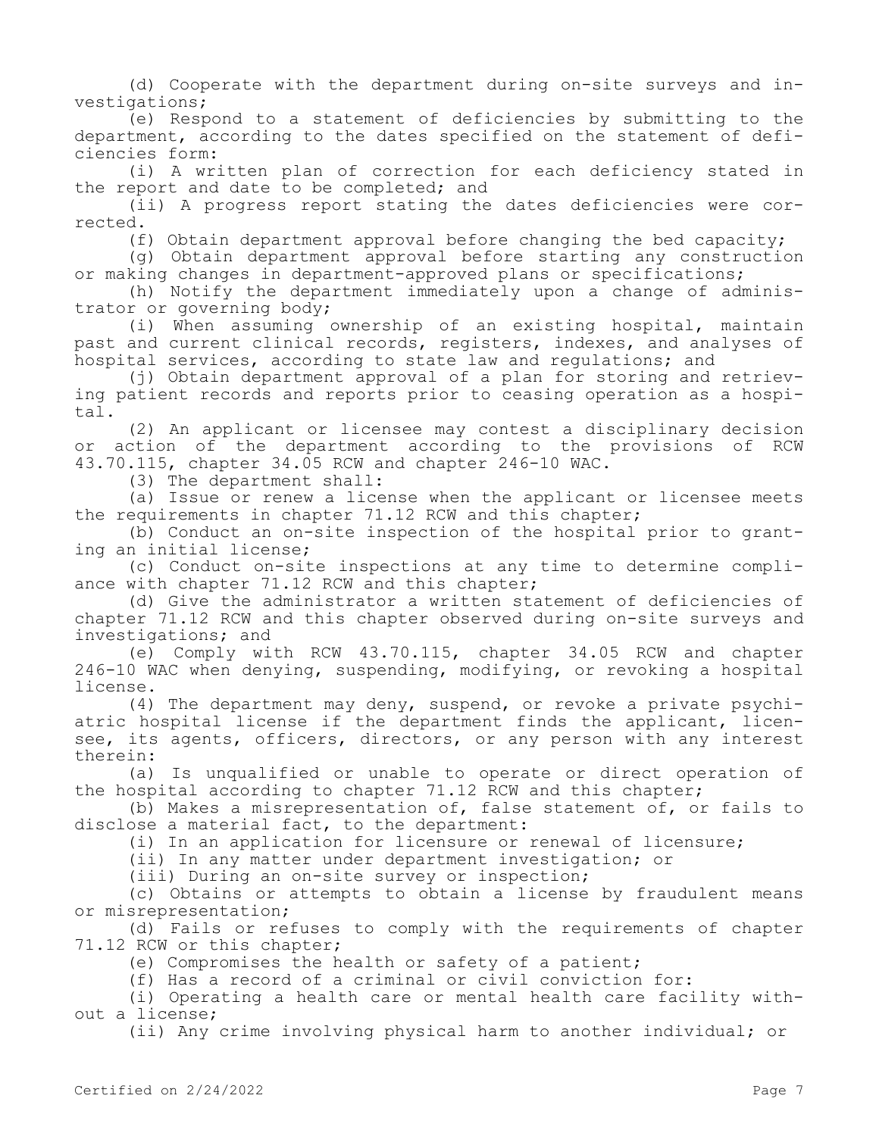(d) Cooperate with the department during on-site surveys and investigations;

(e) Respond to a statement of deficiencies by submitting to the department, according to the dates specified on the statement of deficiencies form:

(i) A written plan of correction for each deficiency stated in the report and date to be completed; and

(ii) A progress report stating the dates deficiencies were corrected.

(f) Obtain department approval before changing the bed capacity;

(g) Obtain department approval before starting any construction or making changes in department-approved plans or specifications;

(h) Notify the department immediately upon a change of administrator or governing body;

(i) When assuming ownership of an existing hospital, maintain past and current clinical records, registers, indexes, and analyses of hospital services, according to state law and requlations; and

(j) Obtain department approval of a plan for storing and retrieving patient records and reports prior to ceasing operation as a hospital.

(2) An applicant or licensee may contest a disciplinary decision or action of the department according to the provisions of RCW 43.70.115, chapter 34.05 RCW and chapter 246-10 WAC.

(3) The department shall:

(a) Issue or renew a license when the applicant or licensee meets the requirements in chapter 71.12 RCW and this chapter;

(b) Conduct an on-site inspection of the hospital prior to granting an initial license;

(c) Conduct on-site inspections at any time to determine compliance with chapter 71.12 RCW and this chapter;

(d) Give the administrator a written statement of deficiencies of chapter 71.12 RCW and this chapter observed during on-site surveys and investigations; and

(e) Comply with RCW 43.70.115, chapter 34.05 RCW and chapter 246-10 WAC when denying, suspending, modifying, or revoking a hospital license.

(4) The department may deny, suspend, or revoke a private psychiatric hospital license if the department finds the applicant, licensee, its agents, officers, directors, or any person with any interest therein:

(a) Is unqualified or unable to operate or direct operation of the hospital according to chapter 71.12 RCW and this chapter;

(b) Makes a misrepresentation of, false statement of, or fails to disclose a material fact, to the department:

(i) In an application for licensure or renewal of licensure;

(ii) In any matter under department investigation; or

(iii) During an on-site survey or inspection;

(c) Obtains or attempts to obtain a license by fraudulent means or misrepresentation;

(d) Fails or refuses to comply with the requirements of chapter 71.12 RCW or this chapter;

(e) Compromises the health or safety of a patient;

(f) Has a record of a criminal or civil conviction for:

(i) Operating a health care or mental health care facility without a license;

(ii) Any crime involving physical harm to another individual; or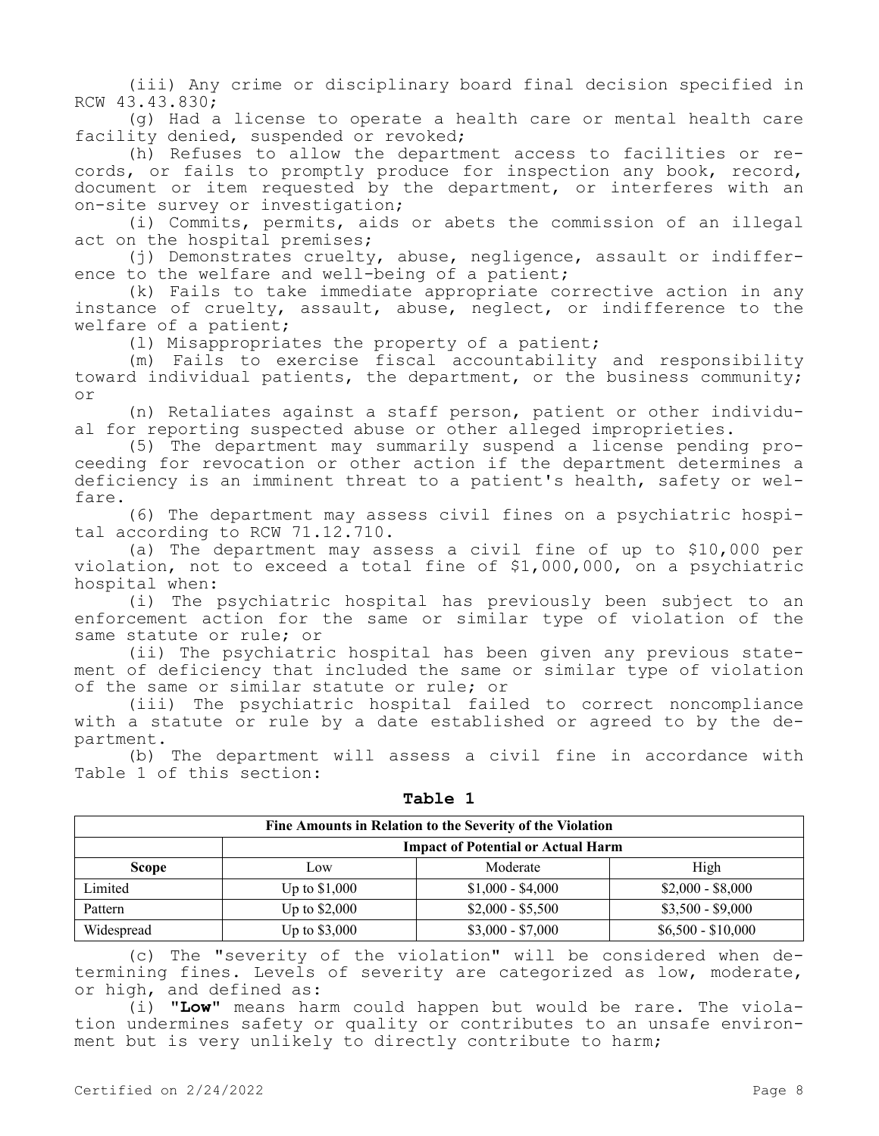(iii) Any crime or disciplinary board final decision specified in RCW 43.43.830;

(g) Had a license to operate a health care or mental health care facility denied, suspended or revoked;

(h) Refuses to allow the department access to facilities or records, or fails to promptly produce for inspection any book, record, document or item requested by the department, or interferes with an on-site survey or investigation;

(i) Commits, permits, aids or abets the commission of an illegal act on the hospital premises;

(j) Demonstrates cruelty, abuse, negligence, assault or indifference to the welfare and well-being of a patient;

(k) Fails to take immediate appropriate corrective action in any instance of cruelty, assault, abuse, neglect, or indifference to the welfare of a patient;

(l) Misappropriates the property of a patient;

(m) Fails to exercise fiscal accountability and responsibility toward individual patients, the department, or the business community; or

(n) Retaliates against a staff person, patient or other individual for reporting suspected abuse or other alleged improprieties.

(5) The department may summarily suspend a license pending proceeding for revocation or other action if the department determines a deficiency is an imminent threat to a patient's health, safety or welfare.

(6) The department may assess civil fines on a psychiatric hospital according to RCW 71.12.710.

(a) The department may assess a civil fine of up to \$10,000 per violation, not to exceed a total fine of \$1,000,000, on a psychiatric hospital when:

(i) The psychiatric hospital has previously been subject to an enforcement action for the same or similar type of violation of the same statute or rule; or

(ii) The psychiatric hospital has been given any previous statement of deficiency that included the same or similar type of violation of the same or similar statute or rule; or

(iii) The psychiatric hospital failed to correct noncompliance with a statute or rule by a date established or agreed to by the department.

(b) The department will assess a civil fine in accordance with Table 1 of this section:

| Fine Amounts in Relation to the Severity of the Violation |                                           |                   |                    |  |
|-----------------------------------------------------------|-------------------------------------------|-------------------|--------------------|--|
|                                                           | <b>Impact of Potential or Actual Harm</b> |                   |                    |  |
| <b>Scope</b>                                              | Low                                       | Moderate          | High               |  |
| Limited                                                   | Up to $$1,000$                            | $$1,000 - $4,000$ | $$2,000 - $8,000$  |  |
| Pattern                                                   | Up to $$2,000$                            | $$2,000 - $5,500$ | $$3,500 - $9,000$  |  |
| Widespread                                                | Up to $$3,000$                            | $$3,000 - $7,000$ | $$6,500 - $10,000$ |  |

**Table 1**

(c) The "severity of the violation" will be considered when determining fines. Levels of severity are categorized as low, moderate, or high, and defined as:

(i) **"Low"** means harm could happen but would be rare. The violation undermines safety or quality or contributes to an unsafe environment but is very unlikely to directly contribute to harm;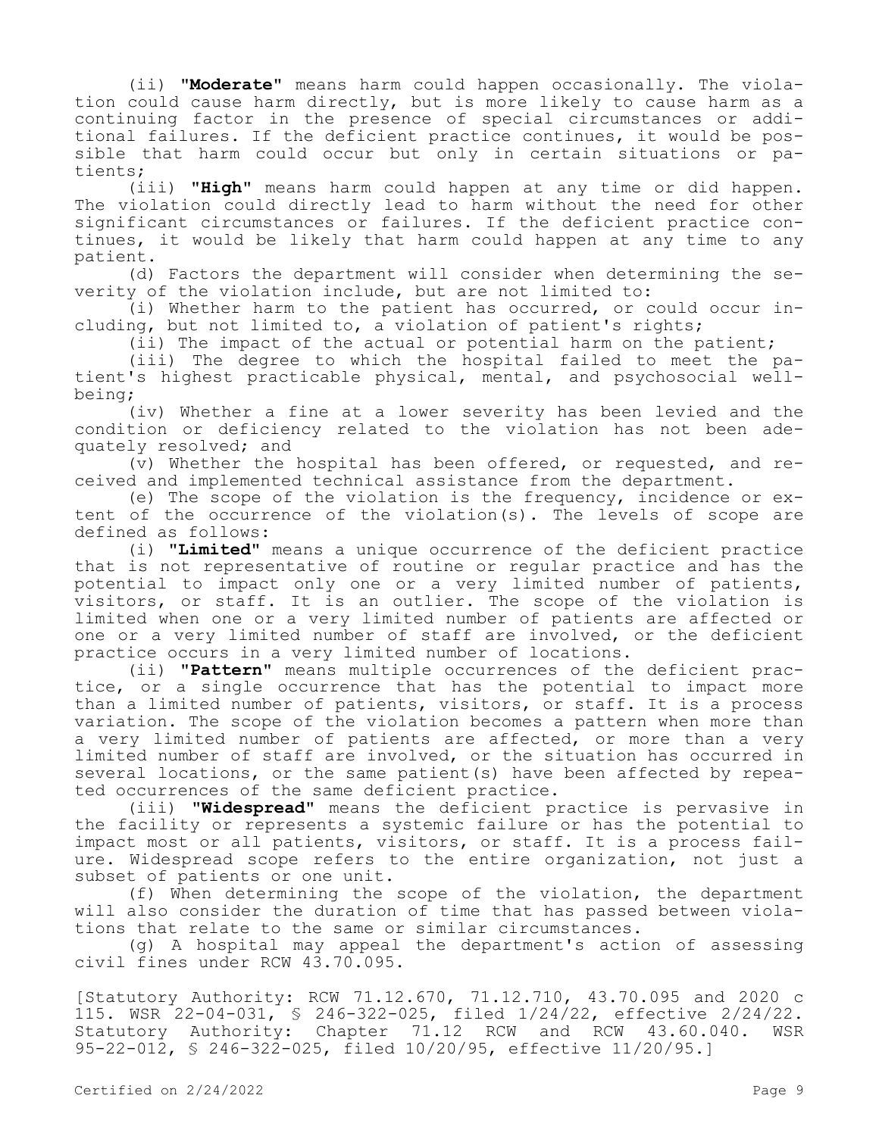(ii) **"Moderate"** means harm could happen occasionally. The violation could cause harm directly, but is more likely to cause harm as a continuing factor in the presence of special circumstances or additional failures. If the deficient practice continues, it would be possible that harm could occur but only in certain situations or patients;

(iii) **"High"** means harm could happen at any time or did happen. The violation could directly lead to harm without the need for other significant circumstances or failures. If the deficient practice continues, it would be likely that harm could happen at any time to any patient.

(d) Factors the department will consider when determining the severity of the violation include, but are not limited to:

(i) Whether harm to the patient has occurred, or could occur including, but not limited to, a violation of patient's rights;

(ii) The impact of the actual or potential harm on the patient;

(iii) The degree to which the hospital failed to meet the patient's highest practicable physical, mental, and psychosocial wellbeing;

(iv) Whether a fine at a lower severity has been levied and the condition or deficiency related to the violation has not been adequately resolved; and

(v) Whether the hospital has been offered, or requested, and received and implemented technical assistance from the department.

(e) The scope of the violation is the frequency, incidence or extent of the occurrence of the violation(s). The levels of scope are defined as follows:

(i) "**Limited"** means a unique occurrence of the deficient practice that is not representative of routine or regular practice and has the potential to impact only one or a very limited number of patients, visitors, or staff. It is an outlier. The scope of the violation is limited when one or a very limited number of patients are affected or one or a very limited number of staff are involved, or the deficient practice occurs in a very limited number of locations.

(ii) **"Pattern"** means multiple occurrences of the deficient practice, or a single occurrence that has the potential to impact more than a limited number of patients, visitors, or staff. It is a process variation. The scope of the violation becomes a pattern when more than a very limited number of patients are affected, or more than a very limited number of staff are involved, or the situation has occurred in several locations, or the same patient(s) have been affected by repeated occurrences of the same deficient practice.

(iii) **"Widespread"** means the deficient practice is pervasive in the facility or represents a systemic failure or has the potential to impact most or all patients, visitors, or staff. It is a process failure. Widespread scope refers to the entire organization, not just a subset of patients or one unit.

(f) When determining the scope of the violation, the department will also consider the duration of time that has passed between violations that relate to the same or similar circumstances.

(g) A hospital may appeal the department's action of assessing civil fines under RCW 43.70.095.

[Statutory Authority: RCW 71.12.670, 71.12.710, 43.70.095 and 2020 c 115. WSR 22-04-031, § 246-322-025, filed 1/24/22, effective 2/24/22. Statutory Authority: Chapter 71.12 RCW and RCW 43.60.040. WSR 95-22-012, § 246-322-025, filed 10/20/95, effective 11/20/95.]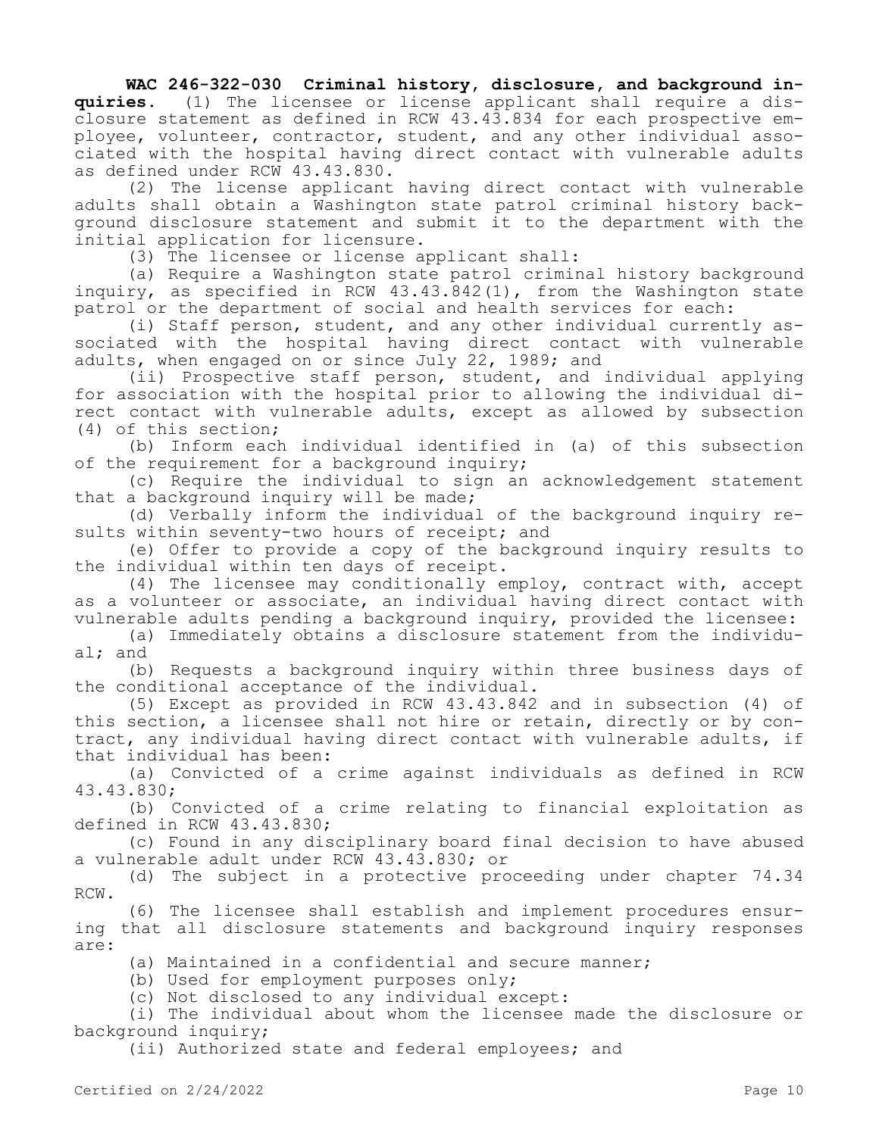# **WAC 246-322-030 Criminal history, disclosure, and background in-**

**quiries.** (1) The licensee or license applicant shall require a disclosure statement as defined in RCW 43.43.834 for each prospective employee, volunteer, contractor, student, and any other individual associated with the hospital having direct contact with vulnerable adults as defined under RCW 43.43.830.

(2) The license applicant having direct contact with vulnerable adults shall obtain a Washington state patrol criminal history background disclosure statement and submit it to the department with the initial application for licensure.

(3) The licensee or license applicant shall:

(a) Require a Washington state patrol criminal history background inquiry, as specified in RCW 43.43.842(1), from the Washington state patrol or the department of social and health services for each:

(i) Staff person, student, and any other individual currently associated with the hospital having direct contact with vulnerable adults, when engaged on or since July 22, 1989; and

(ii) Prospective staff person, student, and individual applying for association with the hospital prior to allowing the individual direct contact with vulnerable adults, except as allowed by subsection (4) of this section;

(b) Inform each individual identified in (a) of this subsection of the requirement for a background inquiry;

(c) Require the individual to sign an acknowledgement statement that a background inquiry will be made;

(d) Verbally inform the individual of the background inquiry results within seventy-two hours of receipt; and

(e) Offer to provide a copy of the background inquiry results to the individual within ten days of receipt.

(4) The licensee may conditionally employ, contract with, accept as a volunteer or associate, an individual having direct contact with vulnerable adults pending a background inquiry, provided the licensee:

(a) Immediately obtains a disclosure statement from the individual; and

(b) Requests a background inquiry within three business days of the conditional acceptance of the individual.

(5) Except as provided in RCW 43.43.842 and in subsection (4) of this section, a licensee shall not hire or retain, directly or by contract, any individual having direct contact with vulnerable adults, if that individual has been:

(a) Convicted of a crime against individuals as defined in RCW 43.43.830;

(b) Convicted of a crime relating to financial exploitation as defined in RCW 43.43.830;

(c) Found in any disciplinary board final decision to have abused a vulnerable adult under RCW 43.43.830; or

(d) The subject in a protective proceeding under chapter 74.34 RCW.

(6) The licensee shall establish and implement procedures ensuring that all disclosure statements and background inquiry responses are:

(a) Maintained in a confidential and secure manner;

(b) Used for employment purposes only;

(c) Not disclosed to any individual except:

(i) The individual about whom the licensee made the disclosure or background inquiry;

(ii) Authorized state and federal employees; and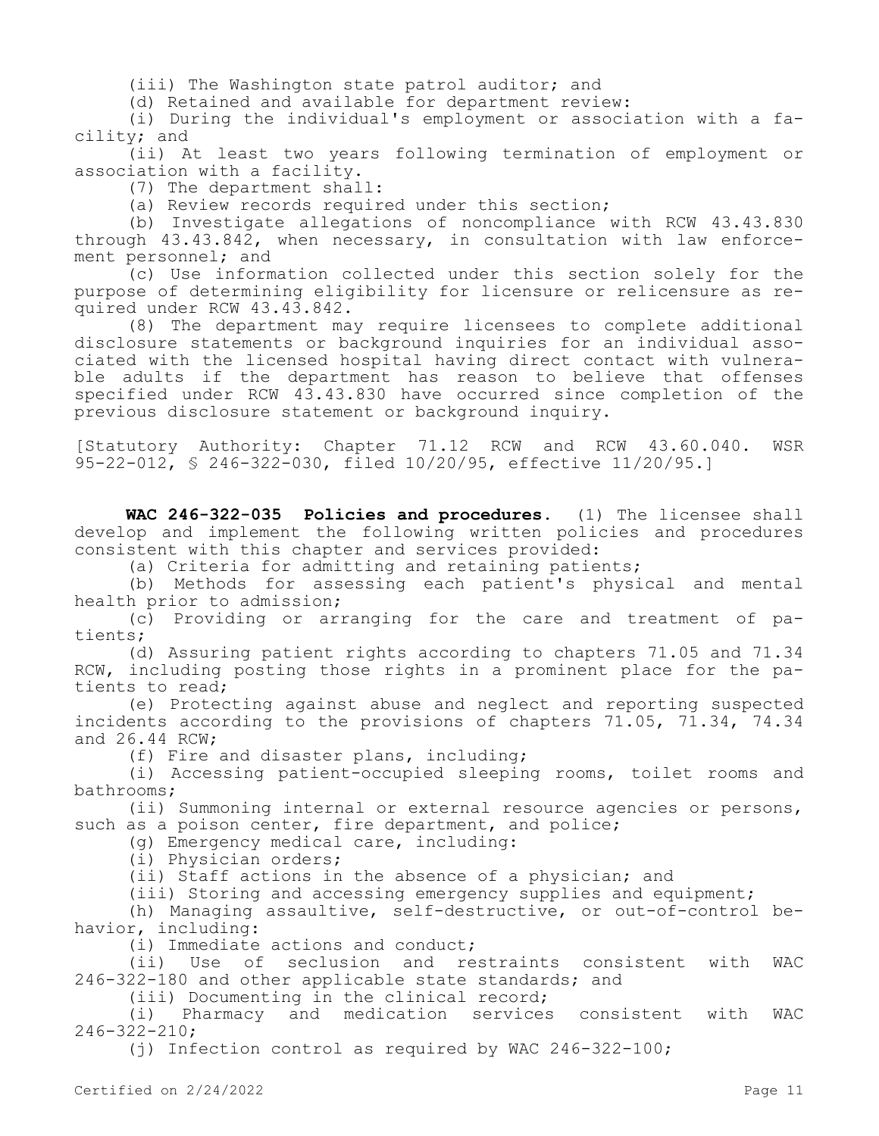(iii) The Washington state patrol auditor; and

(d) Retained and available for department review:

(i) During the individual's employment or association with a facility; and

(ii) At least two years following termination of employment or association with a facility.

(7) The department shall:

(a) Review records required under this section;

(b) Investigate allegations of noncompliance with RCW 43.43.830 through 43.43.842, when necessary, in consultation with law enforcement personnel; and

(c) Use information collected under this section solely for the purpose of determining eligibility for licensure or relicensure as required under RCW 43.43.842.

(8) The department may require licensees to complete additional disclosure statements or background inquiries for an individual associated with the licensed hospital having direct contact with vulnerable adults if the department has reason to believe that offenses specified under RCW 43.43.830 have occurred since completion of the previous disclosure statement or background inquiry.

[Statutory Authority: Chapter 71.12 RCW and RCW 43.60.040. WSR 95-22-012, § 246-322-030, filed 10/20/95, effective 11/20/95.]

**WAC 246-322-035 Policies and procedures.** (1) The licensee shall develop and implement the following written policies and procedures consistent with this chapter and services provided:

(a) Criteria for admitting and retaining patients;

(b) Methods for assessing each patient's physical and mental health prior to admission;

(c) Providing or arranging for the care and treatment of patients;

(d) Assuring patient rights according to chapters 71.05 and 71.34 RCW, including posting those rights in a prominent place for the patients to read;

(e) Protecting against abuse and neglect and reporting suspected incidents according to the provisions of chapters 71.05, 71.34, 74.34 and 26.44 RCW;

(f) Fire and disaster plans, including;

(i) Accessing patient-occupied sleeping rooms, toilet rooms and bathrooms;

(ii) Summoning internal or external resource agencies or persons, such as a poison center, fire department, and police;

(g) Emergency medical care, including:

(i) Physician orders;

(ii) Staff actions in the absence of a physician; and

(iii) Storing and accessing emergency supplies and equipment;

(h) Managing assaultive, self-destructive, or out-of-control behavior, including:

(i) Immediate actions and conduct;

(ii) Use of seclusion and restraints consistent with WAC 246-322-180 and other applicable state standards; and

(iii) Documenting in the clinical record;

(i) Pharmacy and medication services consistent with WAC 246-322-210;

(j) Infection control as required by WAC 246-322-100;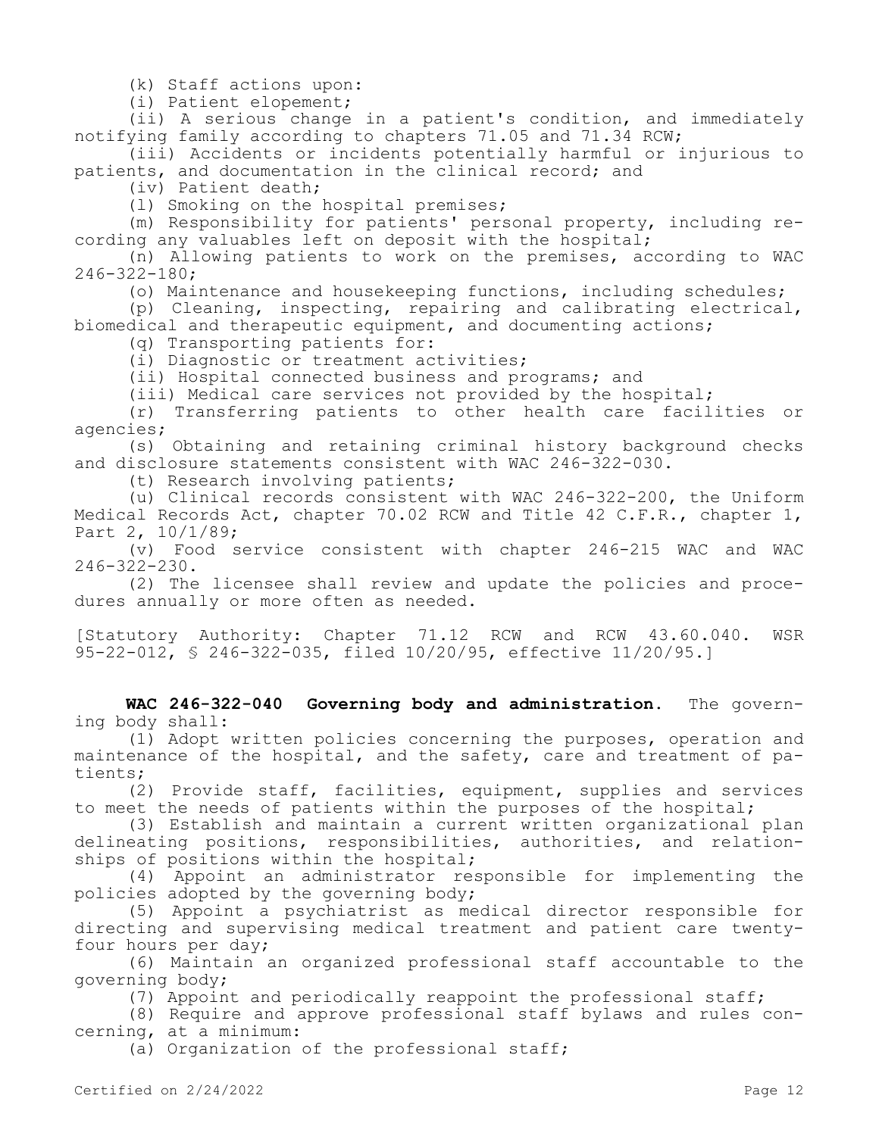(k) Staff actions upon:

(i) Patient elopement;

(ii) A serious change in a patient's condition, and immediately notifying family according to chapters 71.05 and 71.34 RCW;

(iii) Accidents or incidents potentially harmful or injurious to patients, and documentation in the clinical record; and

(iv) Patient death;

(l) Smoking on the hospital premises;

(m) Responsibility for patients' personal property, including recording any valuables left on deposit with the hospital;

(n) Allowing patients to work on the premises, according to WAC 246-322-180;

(o) Maintenance and housekeeping functions, including schedules;

(p) Cleaning, inspecting, repairing and calibrating electrical, biomedical and therapeutic equipment, and documenting actions;

(q) Transporting patients for:

(i) Diagnostic or treatment activities;

(ii) Hospital connected business and programs; and

(iii) Medical care services not provided by the hospital;

(r) Transferring patients to other health care facilities or agencies;

(s) Obtaining and retaining criminal history background checks and disclosure statements consistent with WAC 246-322-030.

(t) Research involving patients;

(u) Clinical records consistent with WAC 246-322-200, the Uniform Medical Records Act, chapter 70.02 RCW and Title 42 C.F.R., chapter 1, Part 2, 10/1/89;

(v) Food service consistent with chapter 246-215 WAC and WAC 246-322-230.

(2) The licensee shall review and update the policies and procedures annually or more often as needed.

[Statutory Authority: Chapter 71.12 RCW and RCW 43.60.040. WSR 95-22-012, § 246-322-035, filed 10/20/95, effective 11/20/95.]

**WAC 246-322-040 Governing body and administration.** The governing body shall:

(1) Adopt written policies concerning the purposes, operation and maintenance of the hospital, and the safety, care and treatment of patients;

(2) Provide staff, facilities, equipment, supplies and services to meet the needs of patients within the purposes of the hospital;

(3) Establish and maintain a current written organizational plan delineating positions, responsibilities, authorities, and relationships of positions within the hospital;

(4) Appoint an administrator responsible for implementing the policies adopted by the governing body;

(5) Appoint a psychiatrist as medical director responsible for directing and supervising medical treatment and patient care twentyfour hours per day;

(6) Maintain an organized professional staff accountable to the governing body;

(7) Appoint and periodically reappoint the professional staff;

(8) Require and approve professional staff bylaws and rules concerning, at a minimum:

(a) Organization of the professional staff;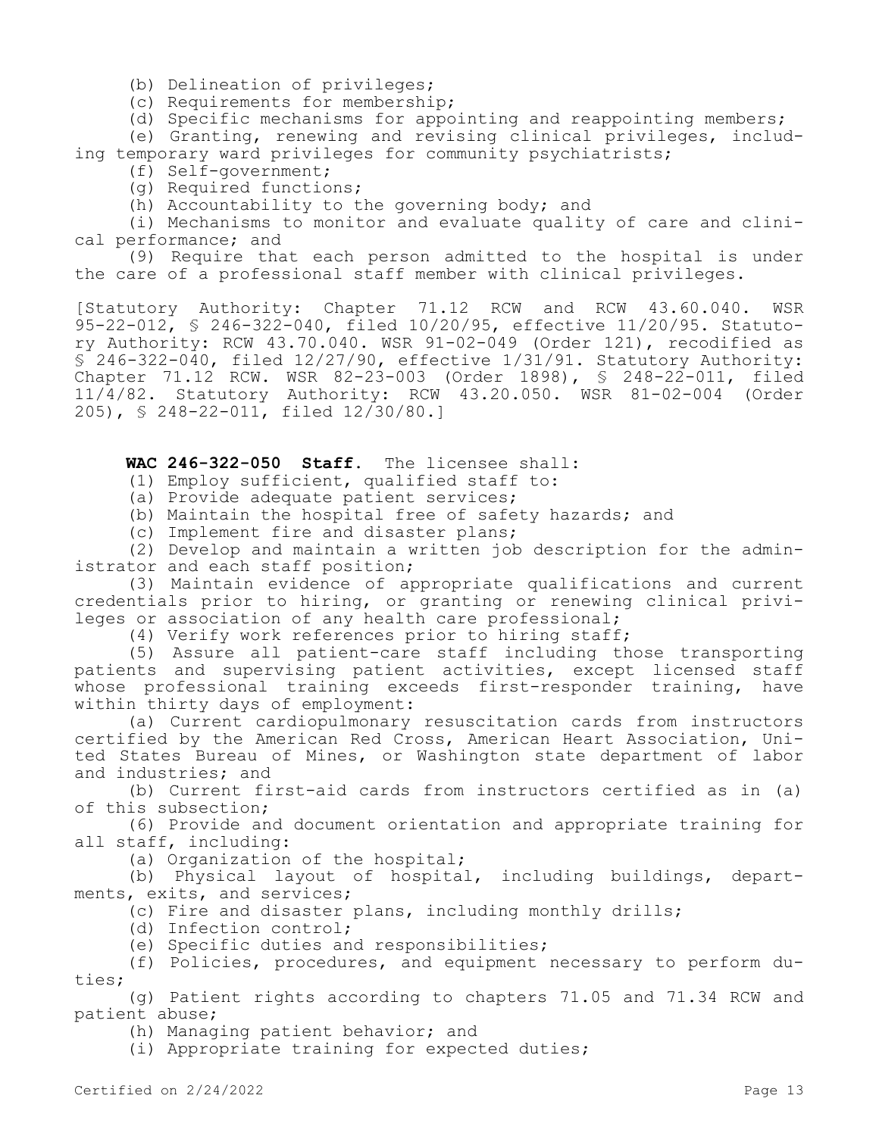(b) Delineation of privileges;

(c) Requirements for membership;

(d) Specific mechanisms for appointing and reappointing members;

(e) Granting, renewing and revising clinical privileges, including temporary ward privileges for community psychiatrists;

(f) Self-government;

(g) Required functions;

(h) Accountability to the governing body; and

(i) Mechanisms to monitor and evaluate quality of care and clinical performance; and

(9) Require that each person admitted to the hospital is under the care of a professional staff member with clinical privileges.

[Statutory Authority: Chapter 71.12 RCW and RCW 43.60.040. WSR 95-22-012, § 246-322-040, filed 10/20/95, effective 11/20/95. Statutory Authority: RCW 43.70.040. WSR 91-02-049 (Order 121), recodified as  $\overline{S}$  246-322-040, filed 12/27/90, effective 1/31/91. Statutory Authority: Chapter 71.12 RCW. WSR 82-23-003 (Order 1898), § 248-22-011, filed 11/4/82. Statutory Authority: RCW 43.20.050. WSR 81-02-004 (Order 205), § 248-22-011, filed 12/30/80.]

**WAC 246-322-050 Staff.** The licensee shall:

(1) Employ sufficient, qualified staff to:

(a) Provide adequate patient services;

(b) Maintain the hospital free of safety hazards; and

(c) Implement fire and disaster plans;

(2) Develop and maintain a written job description for the administrator and each staff position;

(3) Maintain evidence of appropriate qualifications and current credentials prior to hiring, or granting or renewing clinical privileges or association of any health care professional;

(4) Verify work references prior to hiring staff;

(5) Assure all patient-care staff including those transporting patients and supervising patient activities, except licensed staff whose professional training exceeds first-responder training, have within thirty days of employment:

(a) Current cardiopulmonary resuscitation cards from instructors certified by the American Red Cross, American Heart Association, United States Bureau of Mines, or Washington state department of labor and industries; and

(b) Current first-aid cards from instructors certified as in (a) of this subsection;

(6) Provide and document orientation and appropriate training for all staff, including:

(a) Organization of the hospital;

(b) Physical layout of hospital, including buildings, departments, exits, and services;

(c) Fire and disaster plans, including monthly drills;

(d) Infection control;

(e) Specific duties and responsibilities;

(f) Policies, procedures, and equipment necessary to perform duties;

(g) Patient rights according to chapters 71.05 and 71.34 RCW and patient abuse;

(h) Managing patient behavior; and

(i) Appropriate training for expected duties;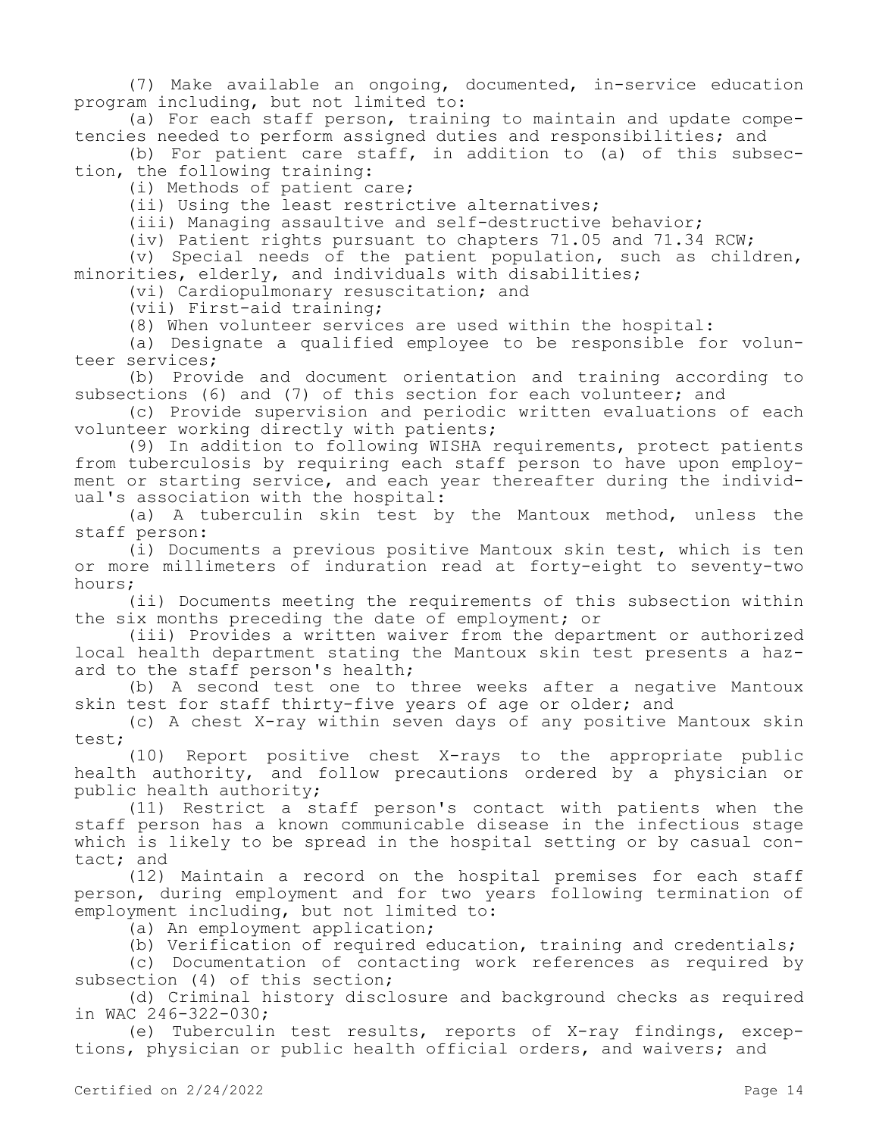(7) Make available an ongoing, documented, in-service education program including, but not limited to:

(a) For each staff person, training to maintain and update competencies needed to perform assigned duties and responsibilities; and

(b) For patient care staff, in addition to (a) of this subsection, the following training:

(i) Methods of patient care;

(ii) Using the least restrictive alternatives;

(iii) Managing assaultive and self-destructive behavior;

(iv) Patient rights pursuant to chapters 71.05 and 71.34 RCW;

(v) Special needs of the patient population, such as children, minorities, elderly, and individuals with disabilities;

(vi) Cardiopulmonary resuscitation; and

(vii) First-aid training;

(8) When volunteer services are used within the hospital:

(a) Designate a qualified employee to be responsible for volunteer services;

(b) Provide and document orientation and training according to subsections (6) and (7) of this section for each volunteer; and

(c) Provide supervision and periodic written evaluations of each volunteer working directly with patients;

(9) In addition to following WISHA requirements, protect patients from tuberculosis by requiring each staff person to have upon employment or starting service, and each year thereafter during the individual's association with the hospital:

(a) A tuberculin skin test by the Mantoux method, unless the staff person:

(i) Documents a previous positive Mantoux skin test, which is ten or more millimeters of induration read at forty-eight to seventy-two hours;

(ii) Documents meeting the requirements of this subsection within the six months preceding the date of employment; or

(iii) Provides a written waiver from the department or authorized local health department stating the Mantoux skin test presents a hazard to the staff person's health;

(b) A second test one to three weeks after a negative Mantoux skin test for staff thirty-five years of age or older; and

(c) A chest X-ray within seven days of any positive Mantoux skin test;

(10) Report positive chest X-rays to the appropriate public health authority, and follow precautions ordered by a physician or public health authority;

(11) Restrict a staff person's contact with patients when the staff person has a known communicable disease in the infectious stage which is likely to be spread in the hospital setting or by casual contact; and

(12) Maintain a record on the hospital premises for each staff person, during employment and for two years following termination of employment including, but not limited to:

(a) An employment application;

(b) Verification of required education, training and credentials;

(c) Documentation of contacting work references as required by subsection (4) of this section;

(d) Criminal history disclosure and background checks as required in WAC 246-322-030;

(e) Tuberculin test results, reports of X-ray findings, exceptions, physician or public health official orders, and waivers; and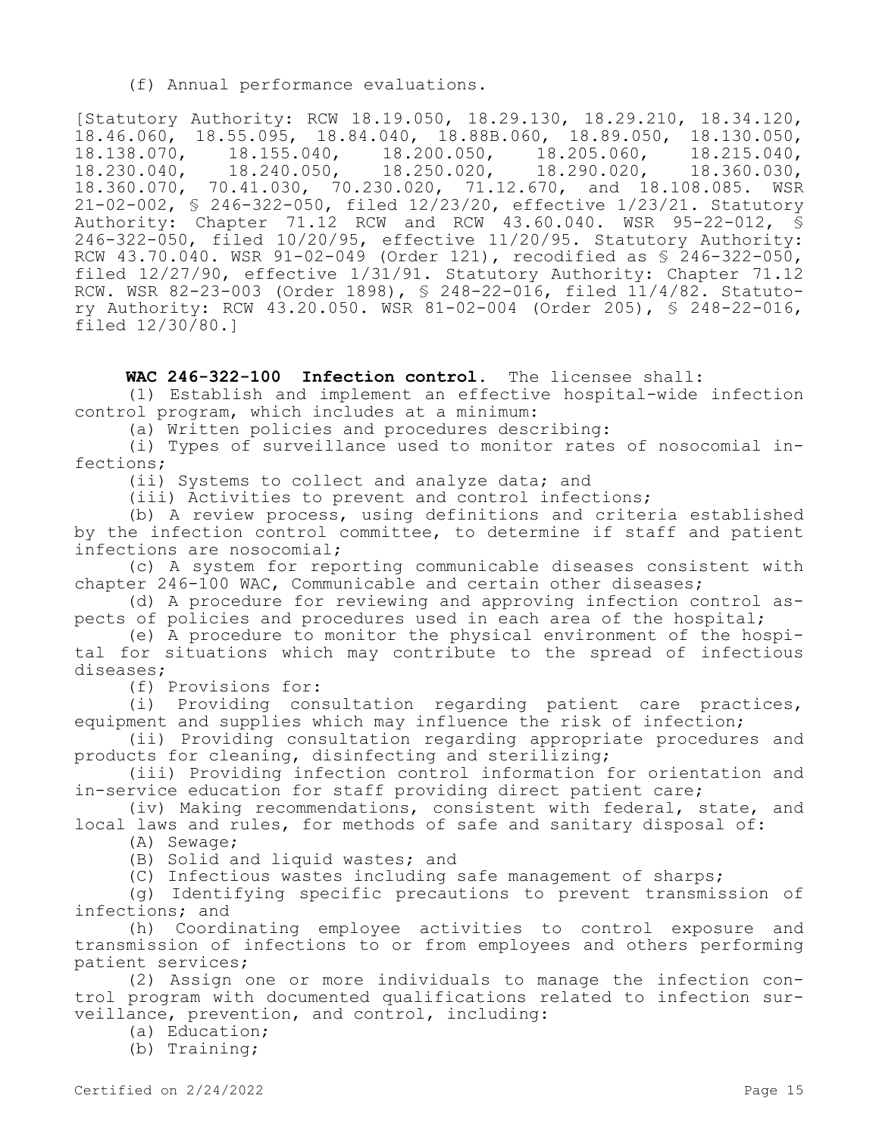(f) Annual performance evaluations.

[Statutory Authority: RCW 18.19.050, 18.29.130, 18.29.210, 18.34.120,  $18.46.060$ ,  $18.55.095$ ,  $18.84.040$ ,  $18.88B.060$ ,  $18.89.050$ ,  $18.130.050$ ,  $18.130.050$ ,  $18.130.050$ ,  $18.130.050$ , 18.138.070, 18.155.040, 18.200.050, 18.205.060, 18.215.040,<br>18.230.040, 18.240.050, 18.250.020, 18.290.020, 18.360.030, 18.230.040, 18.240.050, 18.250.020,<br>18.360.070, 70.41.030, 70.230.020, 71.1 70.41.030, 70.230.020, 71.12.670, and 18.108.085. WSR 21-02-002, § 246-322-050, filed 12/23/20, effective 1/23/21. Statutory Authority: Chapter 71.12 RCW and RCW 43.60.040. WSR 95-22-012, § 246-322-050, filed 10/20/95, effective 11/20/95. Statutory Authority: RCW 43.70.040. WSR 91-02-049 (Order 121), recodified as § 246-322-050, filed 12/27/90, effective 1/31/91. Statutory Authority: Chapter 71.12 RCW. WSR 82-23-003 (Order 1898), § 248-22-016, filed 11/4/82. Statutory Authority: RCW 43.20.050. WSR 81-02-004 (Order 205), § 248-22-016, filed 12/30/80.]

**WAC 246-322-100 Infection control.** The licensee shall:

(1) Establish and implement an effective hospital-wide infection control program, which includes at a minimum:

(a) Written policies and procedures describing:

(i) Types of surveillance used to monitor rates of nosocomial infections;

(ii) Systems to collect and analyze data; and

(iii) Activities to prevent and control infections;

(b) A review process, using definitions and criteria established by the infection control committee, to determine if staff and patient infections are nosocomial;

(c) A system for reporting communicable diseases consistent with chapter 246-100 WAC, Communicable and certain other diseases;

(d) A procedure for reviewing and approving infection control aspects of policies and procedures used in each area of the hospital;

(e) A procedure to monitor the physical environment of the hospital for situations which may contribute to the spread of infectious diseases;

(f) Provisions for:

(i) Providing consultation regarding patient care practices, equipment and supplies which may influence the risk of infection;

(ii) Providing consultation regarding appropriate procedures and products for cleaning, disinfecting and sterilizing;

(iii) Providing infection control information for orientation and in-service education for staff providing direct patient care;

(iv) Making recommendations, consistent with federal, state, and local laws and rules, for methods of safe and sanitary disposal of:

(A) Sewage;

(B) Solid and liquid wastes; and

(C) Infectious wastes including safe management of sharps;

(g) Identifying specific precautions to prevent transmission of infections; and

(h) Coordinating employee activities to control exposure and transmission of infections to or from employees and others performing patient services;

(2) Assign one or more individuals to manage the infection control program with documented qualifications related to infection surveillance, prevention, and control, including:

(a) Education;

(b) Training;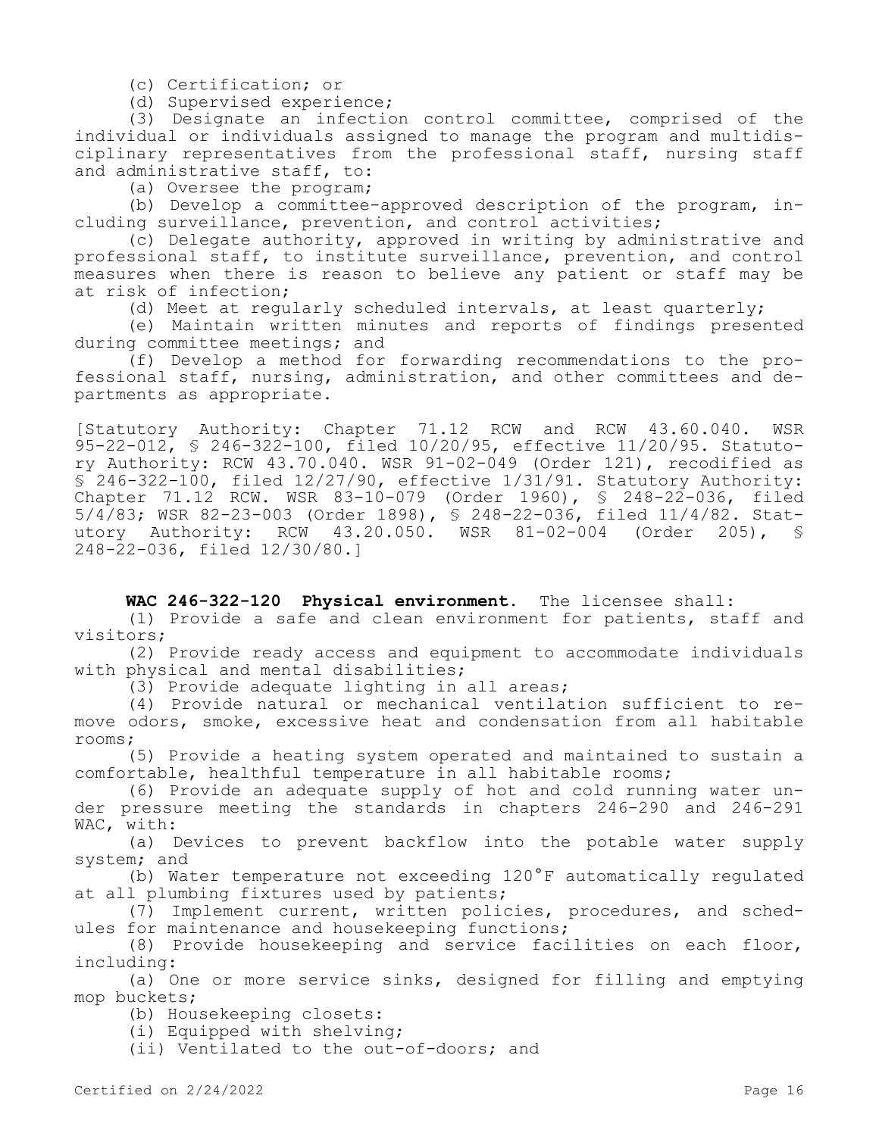(c) Certification; or

(d) Supervised experience;

(3) Designate an infection control committee, comprised of the individual or individuals assigned to manage the program and multidisciplinary representatives from the professional staff, nursing staff and administrative staff, to:

(a) Oversee the program;

(b) Develop a committee-approved description of the program, including surveillance, prevention, and control activities;

(c) Delegate authority, approved in writing by administrative and professional staff, to institute surveillance, prevention, and control measures when there is reason to believe any patient or staff may be at risk of infection;

(d) Meet at regularly scheduled intervals, at least quarterly;

(e) Maintain written minutes and reports of findings presented during committee meetings; and

(f) Develop a method for forwarding recommendations to the professional staff, nursing, administration, and other committees and departments as appropriate.

[Statutory Authority: Chapter 71.12 RCW and RCW 43.60.040. WSR 95-22-012, § 246-322-100, filed 10/20/95, effective 11/20/95. Statutory Authority: RCW 43.70.040. WSR 91-02-049 (Order 121), recodified as § 246-322-100, filed 12/27/90, effective 1/31/91. Statutory Authority: Chapter 71.12 RCW. WSR 83-10-079 (Order 1960), § 248-22-036, filed 5/4/83; WSR 82-23-003 (Order 1898), § 248-22-036, filed 11/4/82. Statutory Authority: RCW 43.20.050. WSR 81-02-004 (Order 205), § 248-22-036, filed 12/30/80.]

## **WAC 246-322-120 Physical environment.** The licensee shall:

(1) Provide a safe and clean environment for patients, staff and visitors;

(2) Provide ready access and equipment to accommodate individuals with physical and mental disabilities;

(3) Provide adequate lighting in all areas;

(4) Provide natural or mechanical ventilation sufficient to remove odors, smoke, excessive heat and condensation from all habitable rooms;

(5) Provide a heating system operated and maintained to sustain a comfortable, healthful temperature in all habitable rooms;

(6) Provide an adequate supply of hot and cold running water under pressure meeting the standards in chapters 246-290 and 246-291 WAC, with:

(a) Devices to prevent backflow into the potable water supply system; and

(b) Water temperature not exceeding 120°F automatically regulated at all plumbing fixtures used by patients;

(7) Implement current, written policies, procedures, and schedules for maintenance and housekeeping functions;

(8) Provide housekeeping and service facilities on each floor, including:

(a) One or more service sinks, designed for filling and emptying mop buckets;

(b) Housekeeping closets:

(i) Equipped with shelving;

(ii) Ventilated to the out-of-doors; and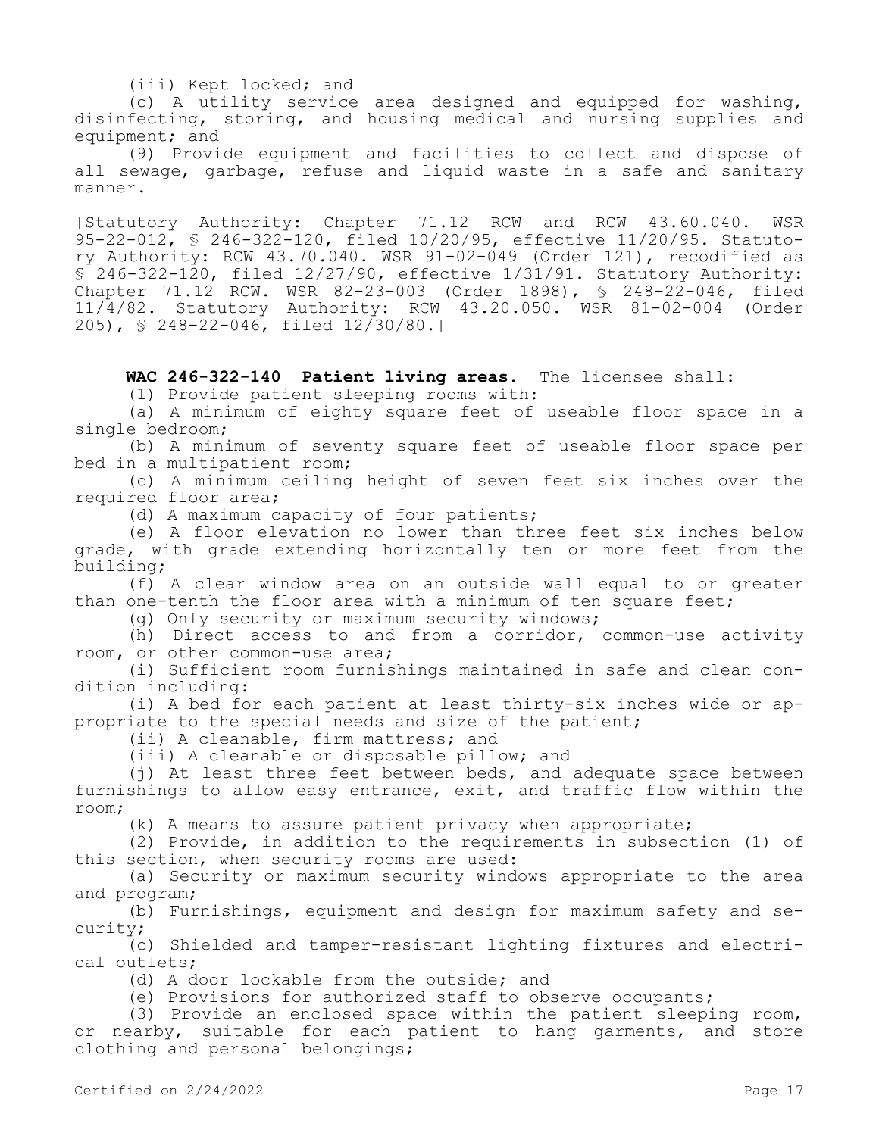## (iii) Kept locked; and

(c) A utility service area designed and equipped for washing, disinfecting, storing, and housing medical and nursing supplies and equipment; and

(9) Provide equipment and facilities to collect and dispose of all sewage, garbage, refuse and liquid waste in a safe and sanitary manner.

[Statutory Authority: Chapter 71.12 RCW and RCW 43.60.040. WSR 95-22-012, § 246-322-120, filed 10/20/95, effective 11/20/95. Statutory Authority: RCW 43.70.040. WSR 91-02-049 (Order 121), recodified as  $\overline{S}$  246-322-120, filed 12/27/90, effective 1/31/91. Statutory Authority: Chapter 71.12 RCW. WSR 82-23-003 (Order 1898), § 248-22-046, filed 11/4/82. Statutory Authority: RCW 43.20.050. WSR 81-02-004 (Order 205), § 248-22-046, filed 12/30/80.]

## **WAC 246-322-140 Patient living areas.** The licensee shall:

(1) Provide patient sleeping rooms with:

(a) A minimum of eighty square feet of useable floor space in a single bedroom;

(b) A minimum of seventy square feet of useable floor space per bed in a multipatient room;

(c) A minimum ceiling height of seven feet six inches over the required floor area;

(d) A maximum capacity of four patients;

(e) A floor elevation no lower than three feet six inches below grade, with grade extending horizontally ten or more feet from the building;

(f) A clear window area on an outside wall equal to or greater than one-tenth the floor area with a minimum of ten square feet;

(g) Only security or maximum security windows;

(h) Direct access to and from a corridor, common-use activity room, or other common-use area;

(i) Sufficient room furnishings maintained in safe and clean condition including:

(i) A bed for each patient at least thirty-six inches wide or appropriate to the special needs and size of the patient;

(ii) A cleanable, firm mattress; and

(iii) A cleanable or disposable pillow; and

(j) At least three feet between beds, and adequate space between furnishings to allow easy entrance, exit, and traffic flow within the room;

(k) A means to assure patient privacy when appropriate;

(2) Provide, in addition to the requirements in subsection (1) of this section, when security rooms are used:

(a) Security or maximum security windows appropriate to the area and program;

(b) Furnishings, equipment and design for maximum safety and security;

(c) Shielded and tamper-resistant lighting fixtures and electrical outlets;

(d) A door lockable from the outside; and

(e) Provisions for authorized staff to observe occupants;

(3) Provide an enclosed space within the patient sleeping room, or nearby, suitable for each patient to hang garments, and store clothing and personal belongings;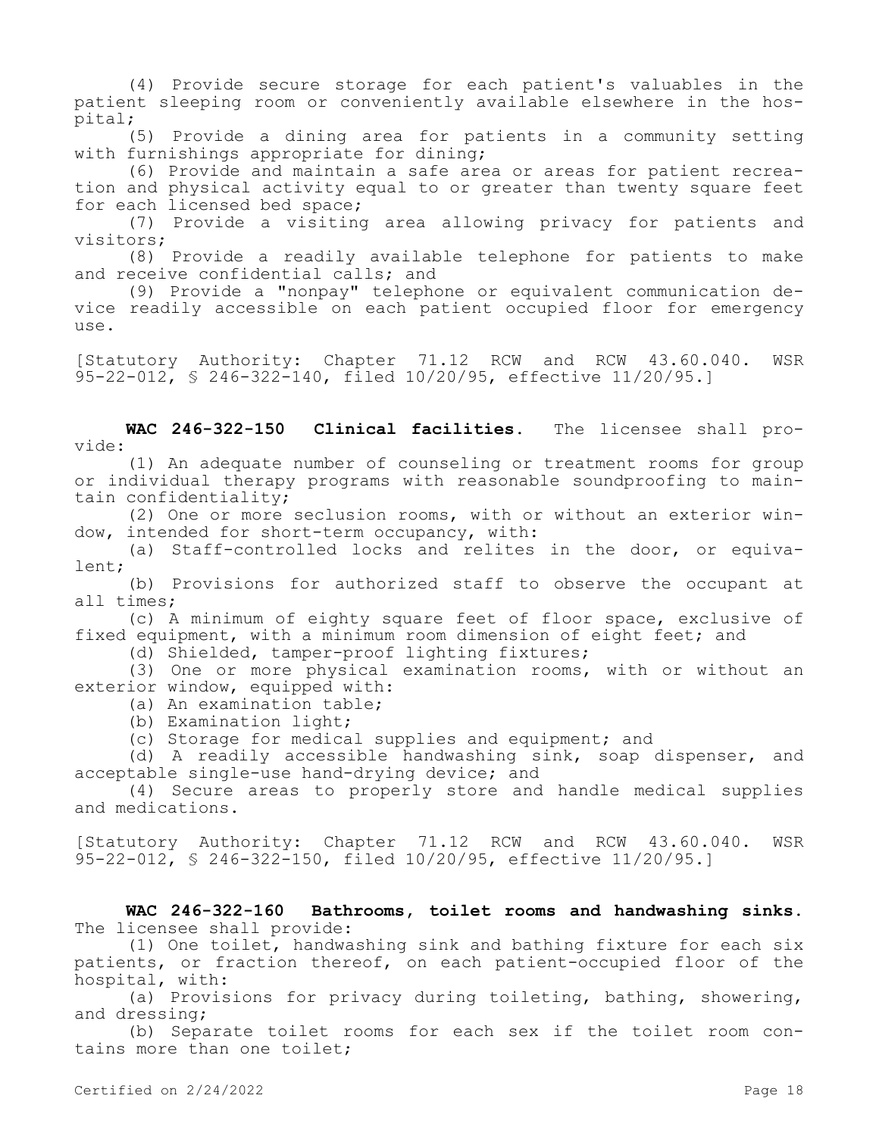(4) Provide secure storage for each patient's valuables in the patient sleeping room or conveniently available elsewhere in the hospital;

(5) Provide a dining area for patients in a community setting with furnishings appropriate for dining;

(6) Provide and maintain a safe area or areas for patient recreation and physical activity equal to or greater than twenty square feet for each licensed bed space;

(7) Provide a visiting area allowing privacy for patients and visitors;

(8) Provide a readily available telephone for patients to make and receive confidential calls; and

(9) Provide a "nonpay" telephone or equivalent communication device readily accessible on each patient occupied floor for emergency use.

[Statutory Authority: Chapter 71.12 RCW and RCW 43.60.040. WSR 95-22-012, § 246-322-140, filed 10/20/95, effective 11/20/95.]

**WAC 246-322-150 Clinical facilities.** The licensee shall provide:

(1) An adequate number of counseling or treatment rooms for group or individual therapy programs with reasonable soundproofing to maintain confidentiality;

(2) One or more seclusion rooms, with or without an exterior window, intended for short-term occupancy, with:

(a) Staff-controlled locks and relites in the door, or equivalent;

(b) Provisions for authorized staff to observe the occupant at all times;

(c) A minimum of eighty square feet of floor space, exclusive of fixed equipment, with a minimum room dimension of eight feet; and

(d) Shielded, tamper-proof lighting fixtures;

(3) One or more physical examination rooms, with or without an exterior window, equipped with:

(a) An examination table;

(b) Examination light;

(c) Storage for medical supplies and equipment; and

(d) A readily accessible handwashing sink, soap dispenser, and acceptable single-use hand-drying device; and

(4) Secure areas to properly store and handle medical supplies and medications.

[Statutory Authority: Chapter 71.12 RCW and RCW 43.60.040. WSR 95-22-012, § 246-322-150, filed 10/20/95, effective 11/20/95.]

**WAC 246-322-160 Bathrooms, toilet rooms and handwashing sinks.**  The licensee shall provide:

(1) One toilet, handwashing sink and bathing fixture for each six patients, or fraction thereof, on each patient-occupied floor of the hospital, with:

(a) Provisions for privacy during toileting, bathing, showering, and dressing;

(b) Separate toilet rooms for each sex if the toilet room contains more than one toilet;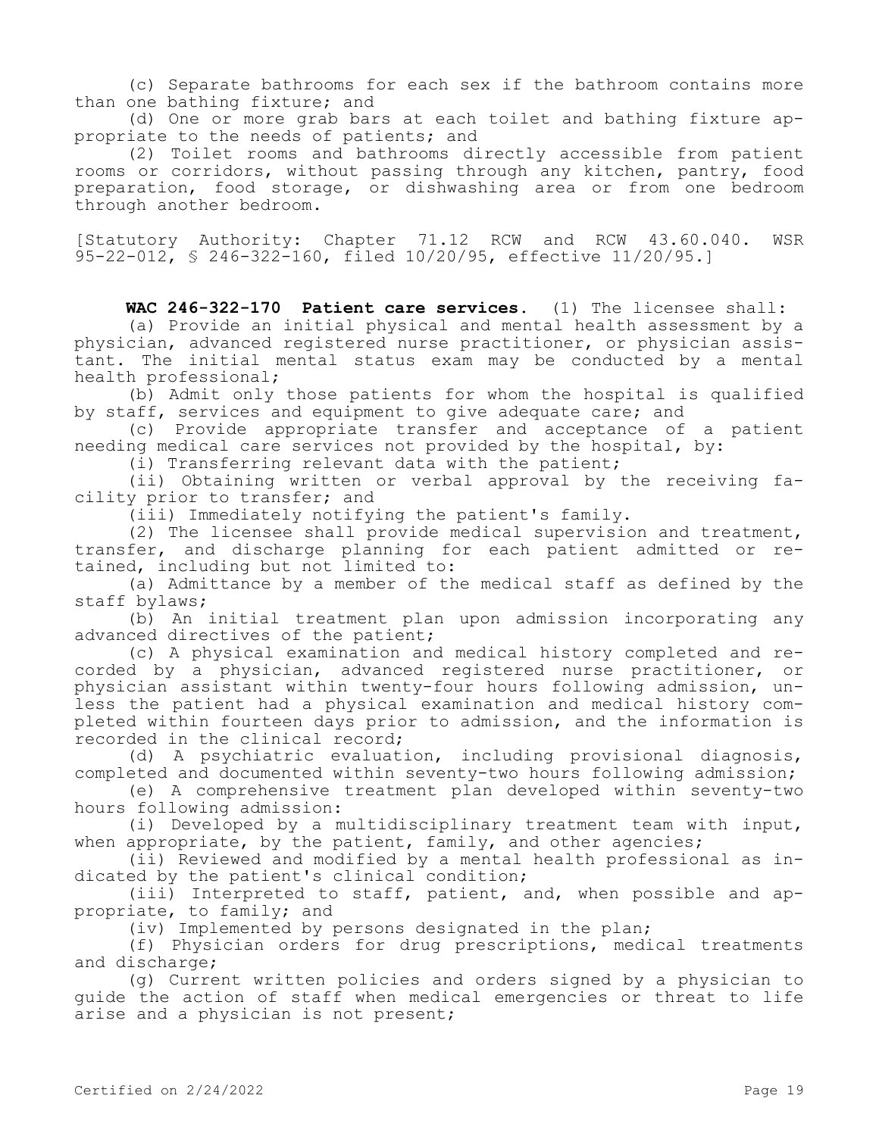(c) Separate bathrooms for each sex if the bathroom contains more than one bathing fixture; and

(d) One or more grab bars at each toilet and bathing fixture appropriate to the needs of patients; and

(2) Toilet rooms and bathrooms directly accessible from patient rooms or corridors, without passing through any kitchen, pantry, food preparation, food storage, or dishwashing area or from one bedroom through another bedroom.

[Statutory Authority: Chapter 71.12 RCW and RCW 43.60.040. WSR 95-22-012, § 246-322-160, filed 10/20/95, effective 11/20/95.]

**WAC 246-322-170 Patient care services.** (1) The licensee shall:

(a) Provide an initial physical and mental health assessment by a physician, advanced registered nurse practitioner, or physician assistant. The initial mental status exam may be conducted by a mental health professional;

(b) Admit only those patients for whom the hospital is qualified by staff, services and equipment to give adequate care; and

(c) Provide appropriate transfer and acceptance of a patient needing medical care services not provided by the hospital, by:

(i) Transferring relevant data with the patient;

(ii) Obtaining written or verbal approval by the receiving facility prior to transfer; and

(iii) Immediately notifying the patient's family.

(2) The licensee shall provide medical supervision and treatment, transfer, and discharge planning for each patient admitted or retained, including but not limited to:

(a) Admittance by a member of the medical staff as defined by the staff bylaws;

(b) An initial treatment plan upon admission incorporating any advanced directives of the patient;

(c) A physical examination and medical history completed and recorded by a physician, advanced registered nurse practitioner, or physician assistant within twenty-four hours following admission, unless the patient had a physical examination and medical history completed within fourteen days prior to admission, and the information is recorded in the clinical record;

(d) A psychiatric evaluation, including provisional diagnosis, completed and documented within seventy-two hours following admission;

(e) A comprehensive treatment plan developed within seventy-two hours following admission:

(i) Developed by a multidisciplinary treatment team with input, when appropriate, by the patient, family, and other agencies;

(ii) Reviewed and modified by a mental health professional as indicated by the patient's clinical condition;

(iii) Interpreted to staff, patient, and, when possible and appropriate, to family; and

(iv) Implemented by persons designated in the plan;

(f) Physician orders for drug prescriptions, medical treatments and discharge;

(g) Current written policies and orders signed by a physician to guide the action of staff when medical emergencies or threat to life arise and a physician is not present;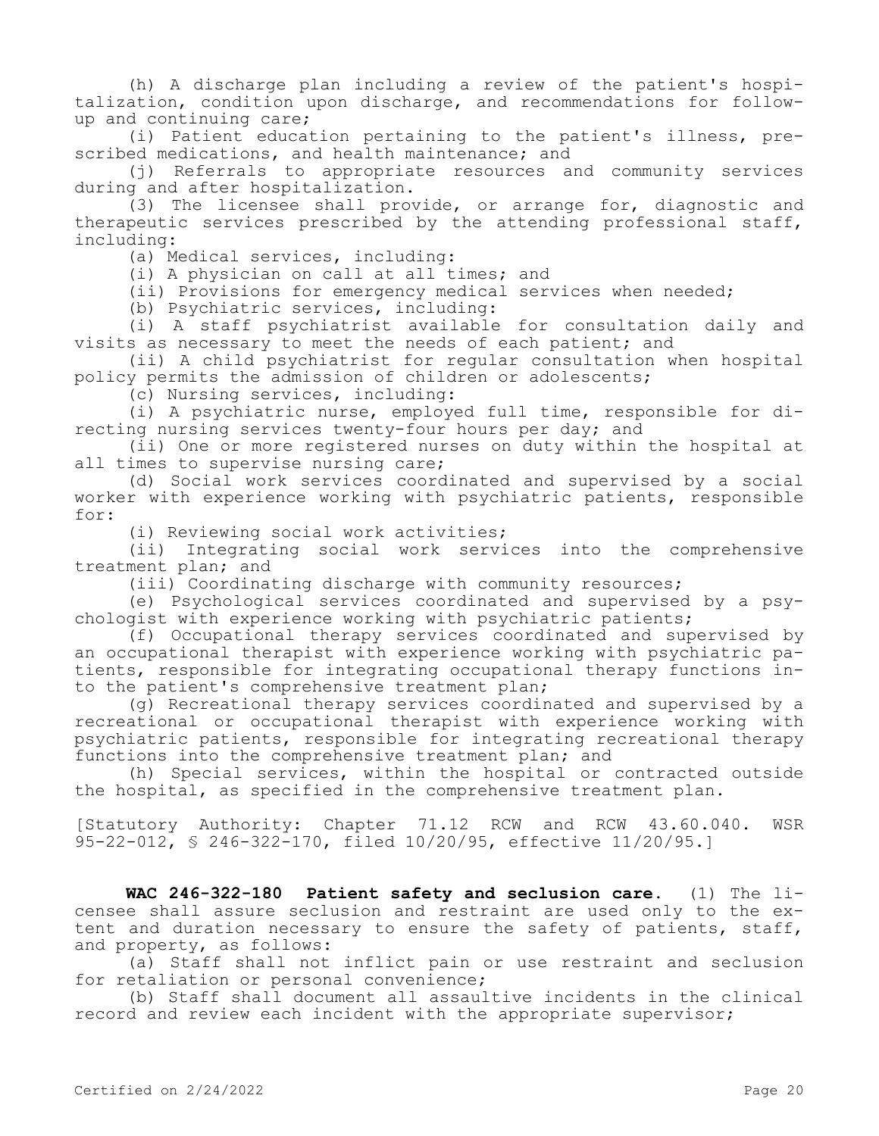(h) A discharge plan including a review of the patient's hospitalization, condition upon discharge, and recommendations for followup and continuing care;

(i) Patient education pertaining to the patient's illness, prescribed medications, and health maintenance; and

(j) Referrals to appropriate resources and community services during and after hospitalization.

(3) The licensee shall provide, or arrange for, diagnostic and therapeutic services prescribed by the attending professional staff, including:

(a) Medical services, including:

(i) A physician on call at all times; and

(ii) Provisions for emergency medical services when needed;

(b) Psychiatric services, including:

(i) A staff psychiatrist available for consultation daily and visits as necessary to meet the needs of each patient; and

(ii) A child psychiatrist for regular consultation when hospital policy permits the admission of children or adolescents;

(c) Nursing services, including:

(i) A psychiatric nurse, employed full time, responsible for directing nursing services twenty-four hours per day; and

(ii) One or more registered nurses on duty within the hospital at all times to supervise nursing care;

(d) Social work services coordinated and supervised by a social worker with experience working with psychiatric patients, responsible for:

(i) Reviewing social work activities;

(ii) Integrating social work services into the comprehensive treatment plan; and

(iii) Coordinating discharge with community resources;

(e) Psychological services coordinated and supervised by a psychologist with experience working with psychiatric patients;

(f) Occupational therapy services coordinated and supervised by an occupational therapist with experience working with psychiatric patients, responsible for integrating occupational therapy functions into the patient's comprehensive treatment plan;

(g) Recreational therapy services coordinated and supervised by a recreational or occupational therapist with experience working with psychiatric patients, responsible for integrating recreational therapy functions into the comprehensive treatment plan; and

(h) Special services, within the hospital or contracted outside the hospital, as specified in the comprehensive treatment plan.

[Statutory Authority: Chapter 71.12 RCW and RCW 43.60.040. WSR 95-22-012, § 246-322-170, filed 10/20/95, effective 11/20/95.]

**WAC 246-322-180 Patient safety and seclusion care.** (1) The licensee shall assure seclusion and restraint are used only to the extent and duration necessary to ensure the safety of patients, staff, and property, as follows:

(a) Staff shall not inflict pain or use restraint and seclusion for retaliation or personal convenience;

(b) Staff shall document all assaultive incidents in the clinical record and review each incident with the appropriate supervisor;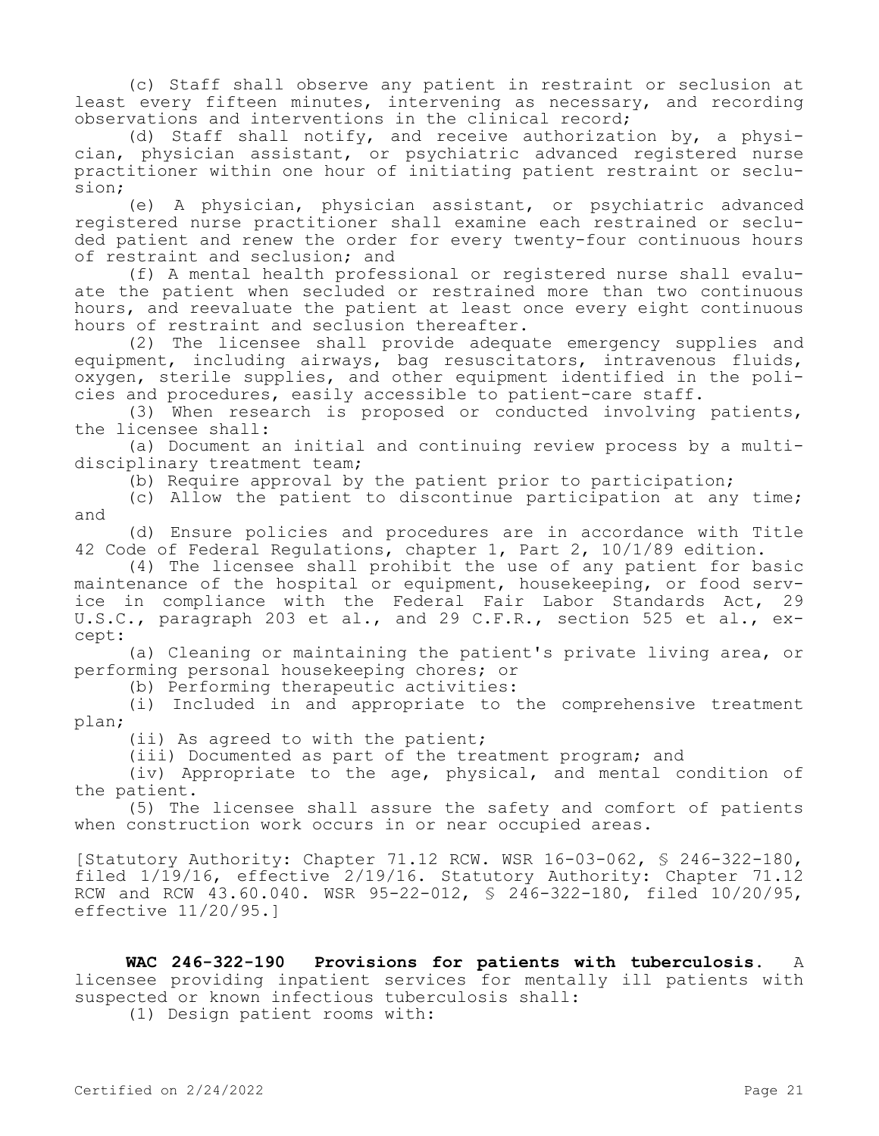(c) Staff shall observe any patient in restraint or seclusion at least every fifteen minutes, intervening as necessary, and recording observations and interventions in the clinical record;

(d) Staff shall notify, and receive authorization by, a physician, physician assistant, or psychiatric advanced registered nurse practitioner within one hour of initiating patient restraint or seclusion;

(e) A physician, physician assistant, or psychiatric advanced registered nurse practitioner shall examine each restrained or secluded patient and renew the order for every twenty-four continuous hours of restraint and seclusion; and

(f) A mental health professional or registered nurse shall evaluate the patient when secluded or restrained more than two continuous hours, and reevaluate the patient at least once every eight continuous hours of restraint and seclusion thereafter.

(2) The licensee shall provide adequate emergency supplies and equipment, including airways, bag resuscitators, intravenous fluids, oxygen, sterile supplies, and other equipment identified in the policies and procedures, easily accessible to patient-care staff.

(3) When research is proposed or conducted involving patients, the licensee shall:

(a) Document an initial and continuing review process by a multidisciplinary treatment team;

(b) Require approval by the patient prior to participation;

(c) Allow the patient to discontinue participation at any time; and

(d) Ensure policies and procedures are in accordance with Title 42 Code of Federal Regulations, chapter 1, Part 2, 10/1/89 edition.

(4) The licensee shall prohibit the use of any patient for basic maintenance of the hospital or equipment, housekeeping, or food service in compliance with the Federal Fair Labor Standards Act, 29 U.S.C., paragraph 203 et al., and 29 C.F.R., section 525 et al., except:

(a) Cleaning or maintaining the patient's private living area, or performing personal housekeeping chores; or

(b) Performing therapeutic activities:

(i) Included in and appropriate to the comprehensive treatment plan;

(ii) As agreed to with the patient;

(iii) Documented as part of the treatment program; and

(iv) Appropriate to the age, physical, and mental condition of the patient.

(5) The licensee shall assure the safety and comfort of patients when construction work occurs in or near occupied areas.

[Statutory Authority: Chapter 71.12 RCW. WSR 16-03-062, § 246-322-180, filed 1/19/16, effective 2/19/16. Statutory Authority: Chapter 71.12 RCW and RCW  $43.60.040$ . WSR  $95-22-012$ , §  $246-322-180$ , filed  $10/20/95$ , effective 11/20/95.]

**WAC 246-322-190 Provisions for patients with tuberculosis.** A licensee providing inpatient services for mentally ill patients with suspected or known infectious tuberculosis shall:

(1) Design patient rooms with: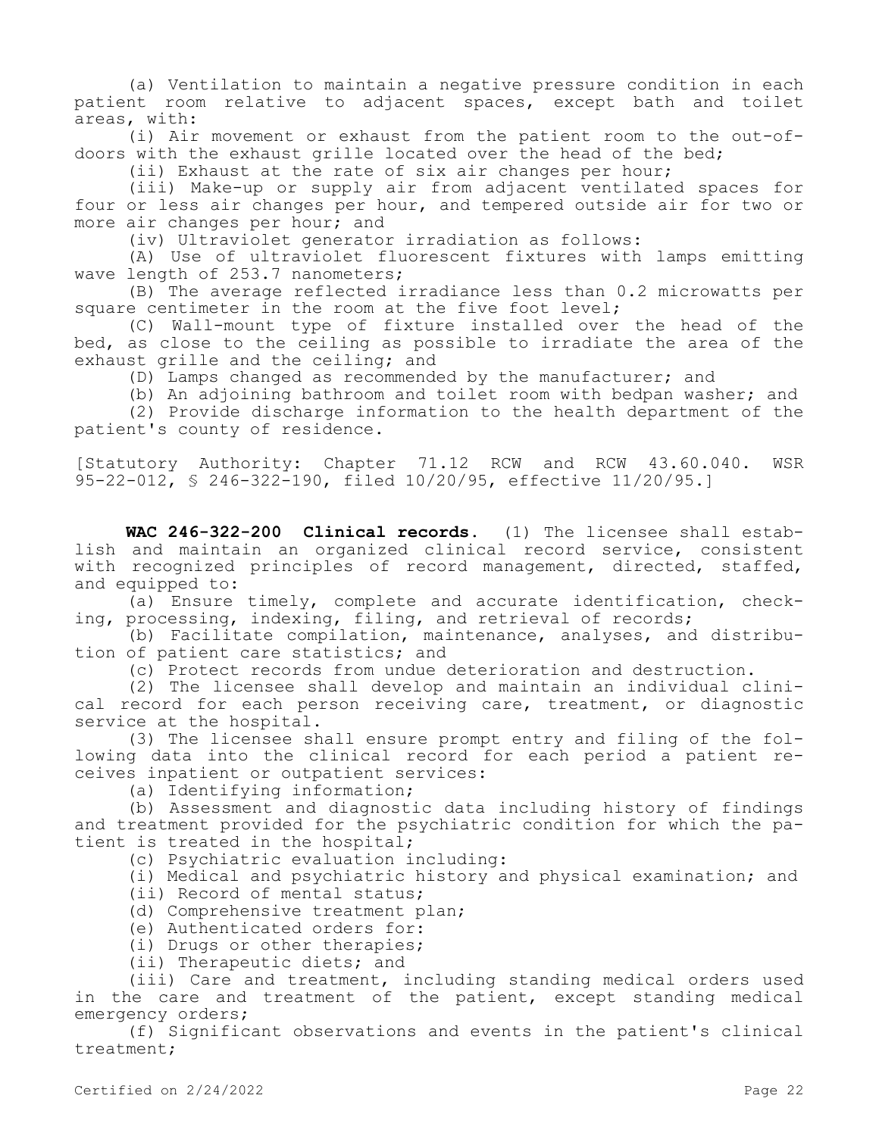(a) Ventilation to maintain a negative pressure condition in each patient room relative to adjacent spaces, except bath and toilet areas, with:

(i) Air movement or exhaust from the patient room to the out-ofdoors with the exhaust grille located over the head of the bed;

(ii) Exhaust at the rate of six air changes per hour;

(iii) Make-up or supply air from adjacent ventilated spaces for four or less air changes per hour, and tempered outside air for two or more air changes per hour; and

(iv) Ultraviolet generator irradiation as follows:

(A) Use of ultraviolet fluorescent fixtures with lamps emitting wave length of 253.7 nanometers;

(B) The average reflected irradiance less than 0.2 microwatts per square centimeter in the room at the five foot level;

(C) Wall-mount type of fixture installed over the head of the bed, as close to the ceiling as possible to irradiate the area of the exhaust grille and the ceiling; and

(D) Lamps changed as recommended by the manufacturer; and

(b) An adjoining bathroom and toilet room with bedpan washer; and

(2) Provide discharge information to the health department of the patient's county of residence.

[Statutory Authority: Chapter 71.12 RCW and RCW 43.60.040. WSR 95-22-012, § 246-322-190, filed 10/20/95, effective 11/20/95.]

**WAC 246-322-200 Clinical records.** (1) The licensee shall establish and maintain an organized clinical record service, consistent with recognized principles of record management, directed, staffed, and equipped to:

(a) Ensure timely, complete and accurate identification, checking, processing, indexing, filing, and retrieval of records;

(b) Facilitate compilation, maintenance, analyses, and distribution of patient care statistics; and

(c) Protect records from undue deterioration and destruction.

(2) The licensee shall develop and maintain an individual clinical record for each person receiving care, treatment, or diagnostic service at the hospital.

(3) The licensee shall ensure prompt entry and filing of the following data into the clinical record for each period a patient receives inpatient or outpatient services:

(a) Identifying information;

(b) Assessment and diagnostic data including history of findings and treatment provided for the psychiatric condition for which the patient is treated in the hospital;

(c) Psychiatric evaluation including:

(i) Medical and psychiatric history and physical examination; and

- (ii) Record of mental status;
- (d) Comprehensive treatment plan;
- (e) Authenticated orders for:
- (i) Drugs or other therapies;
- (ii) Therapeutic diets; and

(iii) Care and treatment, including standing medical orders used in the care and treatment of the patient, except standing medical emergency orders;

(f) Significant observations and events in the patient's clinical treatment;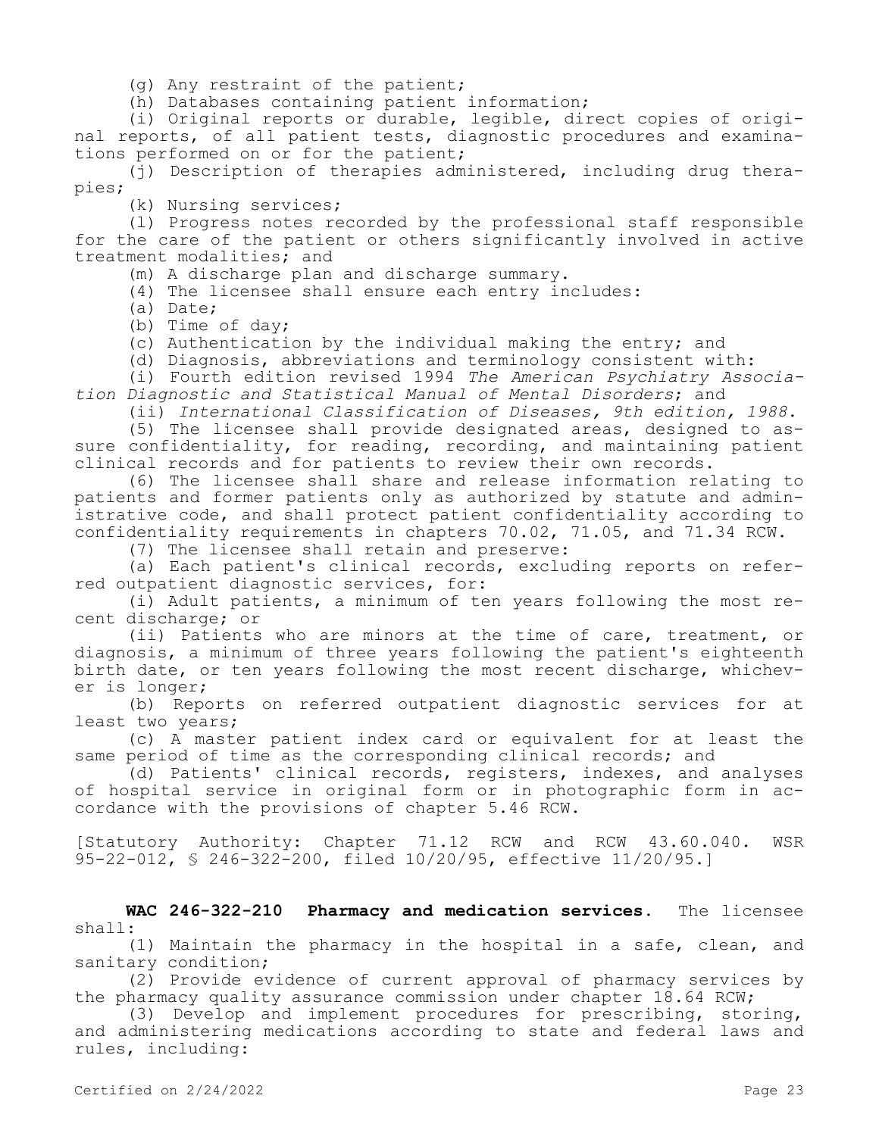(g) Any restraint of the patient;

(h) Databases containing patient information;

(i) Original reports or durable, legible, direct copies of original reports, of all patient tests, diagnostic procedures and examinations performed on or for the patient;

(j) Description of therapies administered, including drug therapies;

(k) Nursing services;

(l) Progress notes recorded by the professional staff responsible for the care of the patient or others significantly involved in active treatment modalities; and

(m) A discharge plan and discharge summary.

(4) The licensee shall ensure each entry includes:

(a) Date;

(b) Time of day;

(c) Authentication by the individual making the entry; and

(d) Diagnosis, abbreviations and terminology consistent with:

(i) Fourth edition revised 1994 *The American Psychiatry Association Diagnostic and Statistical Manual of Mental Disorders*; and

(ii) *International Classification of Diseases, 9th edition, 1988*.

(5) The licensee shall provide designated areas, designed to assure confidentiality, for reading, recording, and maintaining patient clinical records and for patients to review their own records.

(6) The licensee shall share and release information relating to patients and former patients only as authorized by statute and administrative code, and shall protect patient confidentiality according to confidentiality requirements in chapters 70.02, 71.05, and 71.34 RCW.

(7) The licensee shall retain and preserve:

(a) Each patient's clinical records, excluding reports on referred outpatient diagnostic services, for:

(i) Adult patients, a minimum of ten years following the most recent discharge; or

(ii) Patients who are minors at the time of care, treatment, or diagnosis, a minimum of three years following the patient's eighteenth birth date, or ten years following the most recent discharge, whichever is longer;

(b) Reports on referred outpatient diagnostic services for at least two years;

(c) A master patient index card or equivalent for at least the same period of time as the corresponding clinical records; and

(d) Patients' clinical records, registers, indexes, and analyses of hospital service in original form or in photographic form in accordance with the provisions of chapter 5.46 RCW.

[Statutory Authority: Chapter 71.12 RCW and RCW 43.60.040. WSR 95-22-012, § 246-322-200, filed 10/20/95, effective 11/20/95.]

**WAC 246-322-210 Pharmacy and medication services.** The licensee shall:

(1) Maintain the pharmacy in the hospital in a safe, clean, and sanitary condition;

(2) Provide evidence of current approval of pharmacy services by the pharmacy quality assurance commission under chapter 18.64 RCW;

(3) Develop and implement procedures for prescribing, storing, and administering medications according to state and federal laws and rules, including: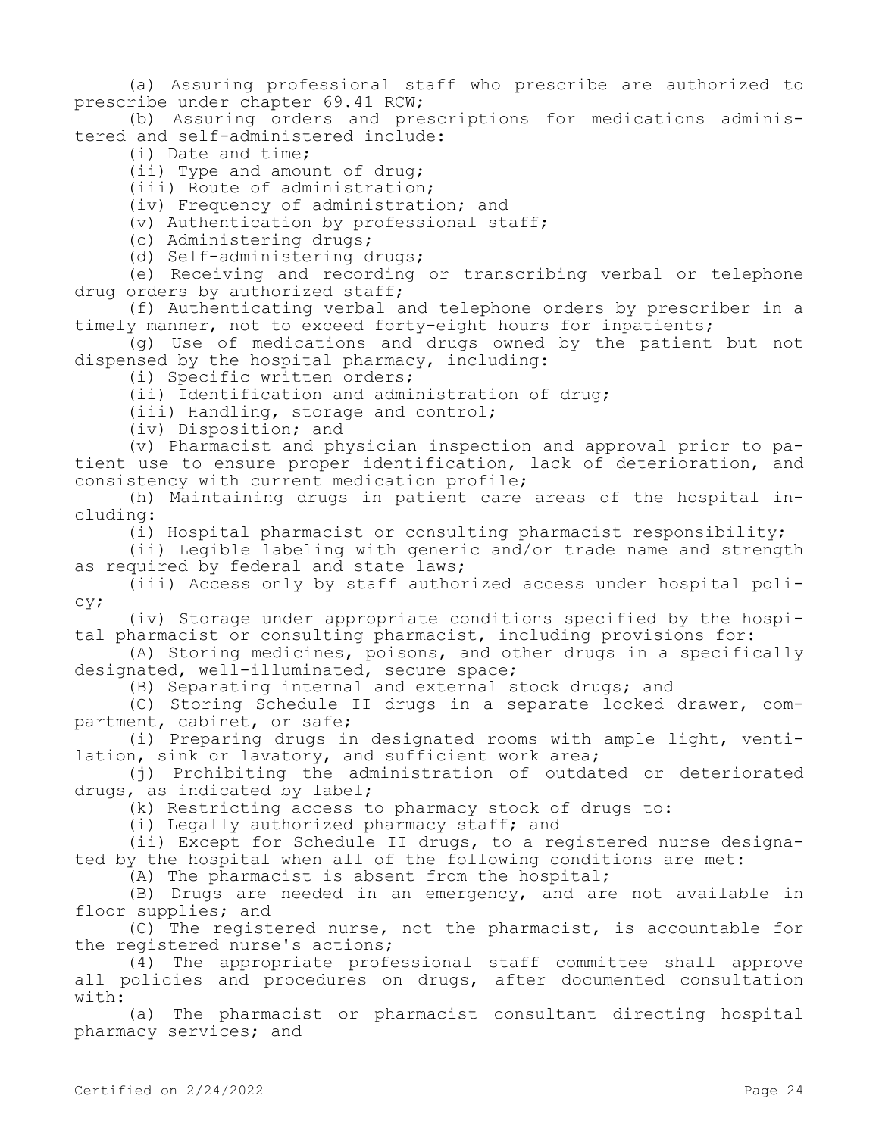(a) Assuring professional staff who prescribe are authorized to prescribe under chapter 69.41 RCW;

(b) Assuring orders and prescriptions for medications administered and self-administered include:

(i) Date and time;

(ii) Type and amount of drug;

(iii) Route of administration;

(iv) Frequency of administration; and

(v) Authentication by professional staff;

(c) Administering drugs;

(d) Self-administering drugs;

(e) Receiving and recording or transcribing verbal or telephone drug orders by authorized staff;

(f) Authenticating verbal and telephone orders by prescriber in a timely manner, not to exceed forty-eight hours for inpatients;

(g) Use of medications and drugs owned by the patient but not dispensed by the hospital pharmacy, including:

(i) Specific written orders;

(ii) Identification and administration of drug;

(iii) Handling, storage and control;

(iv) Disposition; and

(v) Pharmacist and physician inspection and approval prior to patient use to ensure proper identification, lack of deterioration, and consistency with current medication profile;

(h) Maintaining drugs in patient care areas of the hospital including:

(i) Hospital pharmacist or consulting pharmacist responsibility;

(ii) Legible labeling with generic and/or trade name and strength as required by federal and state laws;

(iii) Access only by staff authorized access under hospital policy;

(iv) Storage under appropriate conditions specified by the hospital pharmacist or consulting pharmacist, including provisions for:

(A) Storing medicines, poisons, and other drugs in a specifically designated, well-illuminated, secure space;

(B) Separating internal and external stock drugs; and

(C) Storing Schedule II drugs in a separate locked drawer, compartment, cabinet, or safe;

(i) Preparing drugs in designated rooms with ample light, ventilation, sink or lavatory, and sufficient work area;

(j) Prohibiting the administration of outdated or deteriorated drugs, as indicated by label;

(k) Restricting access to pharmacy stock of drugs to:

(i) Legally authorized pharmacy staff; and

(ii) Except for Schedule II drugs, to a registered nurse designated by the hospital when all of the following conditions are met:

(A) The pharmacist is absent from the hospital;

(B) Drugs are needed in an emergency, and are not available in floor supplies; and

(C) The registered nurse, not the pharmacist, is accountable for the registered nurse's actions;

(4) The appropriate professional staff committee shall approve all policies and procedures on drugs, after documented consultation with:

(a) The pharmacist or pharmacist consultant directing hospital pharmacy services; and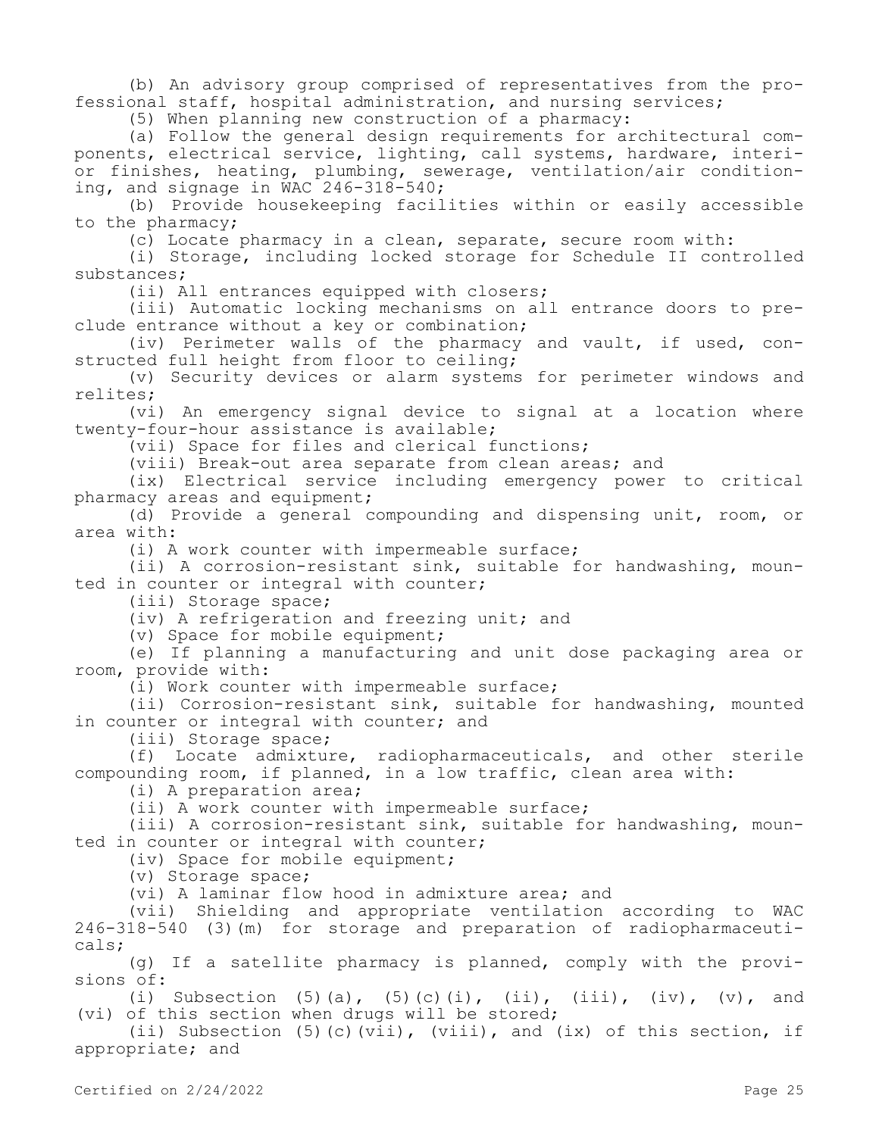(b) An advisory group comprised of representatives from the professional staff, hospital administration, and nursing services;

(5) When planning new construction of a pharmacy:

(a) Follow the general design requirements for architectural components, electrical service, lighting, call systems, hardware, interior finishes, heating, plumbing, sewerage, ventilation/air conditioning, and signage in WAC 246-318-540;

(b) Provide housekeeping facilities within or easily accessible to the pharmacy;

(c) Locate pharmacy in a clean, separate, secure room with:

(i) Storage, including locked storage for Schedule II controlled substances;

(ii) All entrances equipped with closers;

(iii) Automatic locking mechanisms on all entrance doors to preclude entrance without a key or combination;

(iv) Perimeter walls of the pharmacy and vault, if used, constructed full height from floor to ceiling;

(v) Security devices or alarm systems for perimeter windows and relites;

(vi) An emergency signal device to signal at a location where twenty-four-hour assistance is available;

(vii) Space for files and clerical functions;

(viii) Break-out area separate from clean areas; and

(ix) Electrical service including emergency power to critical pharmacy areas and equipment;

(d) Provide a general compounding and dispensing unit, room, or area with:

(i) A work counter with impermeable surface;

(ii) A corrosion-resistant sink, suitable for handwashing, mounted in counter or integral with counter;

(iii) Storage space;

(iv) A refrigeration and freezing unit; and

(v) Space for mobile equipment;

(e) If planning a manufacturing and unit dose packaging area or room, provide with:

(i) Work counter with impermeable surface;

(ii) Corrosion-resistant sink, suitable for handwashing, mounted in counter or integral with counter; and

(iii) Storage space;

(f) Locate admixture, radiopharmaceuticals, and other sterile compounding room, if planned, in a low traffic, clean area with:

(i) A preparation area;

(ii) A work counter with impermeable surface;

(iii) A corrosion-resistant sink, suitable for handwashing, mounted in counter or integral with counter;

(iv) Space for mobile equipment;

(v) Storage space;

(vi) A laminar flow hood in admixture area; and

(vii) Shielding and appropriate ventilation according to WAC 246-318-540 (3)(m) for storage and preparation of radiopharmaceuticals;

(g) If a satellite pharmacy is planned, comply with the provisions of:

(i) Subsection  $(5)(a)$ ,  $(5)(c)(i)$ ,  $(ii)$ ,  $(iii)$ ,  $(iv)$ ,  $(v)$ , and (vi) of this section when drugs will be stored;

(ii) Subsection (5)(c)(vii), (viii), and (ix) of this section, if appropriate; and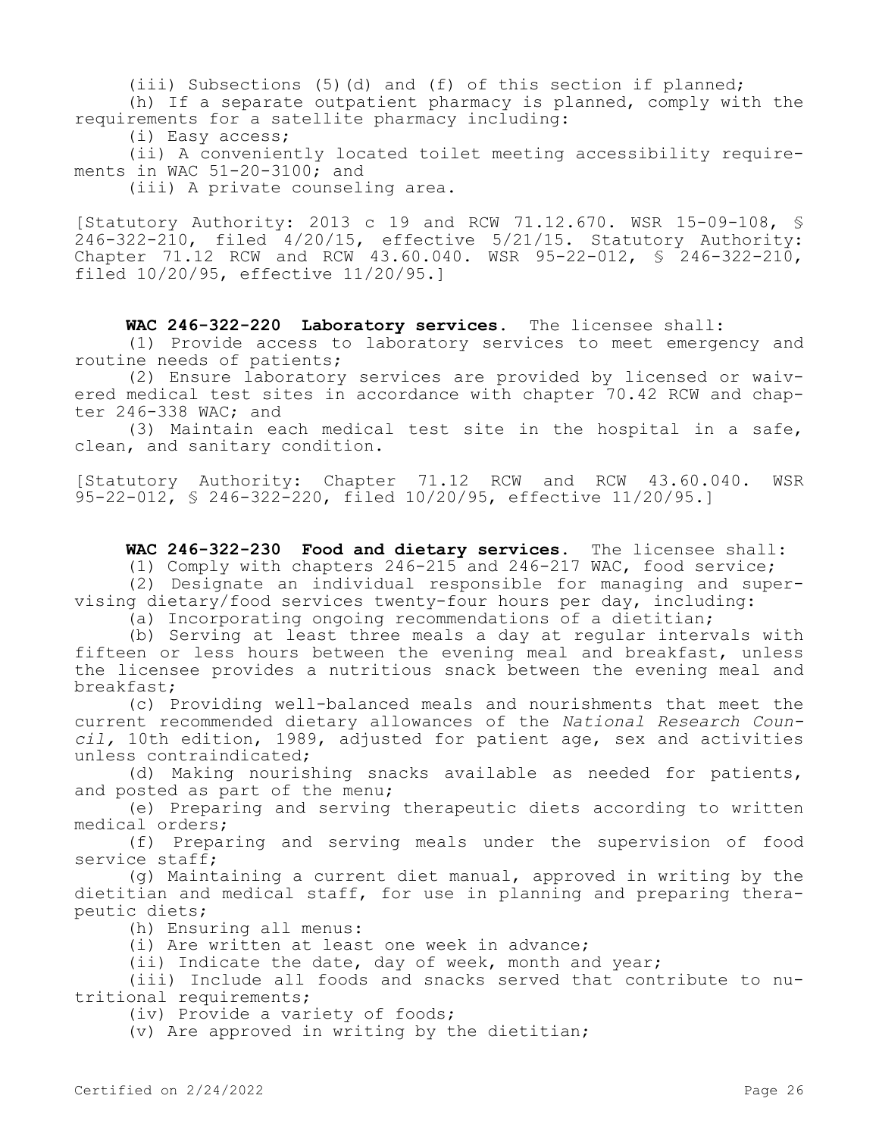(iii) Subsections (5)(d) and (f) of this section if planned;

(h) If a separate outpatient pharmacy is planned, comply with the requirements for a satellite pharmacy including:

(i) Easy access;

(ii) A conveniently located toilet meeting accessibility requirements in WAC 51-20-3100; and

(iii) A private counseling area.

[Statutory Authority: 2013 c 19 and RCW 71.12.670. WSR 15-09-108, §  $246 - 322 - 210$ , filed  $4/20/15$ , effective  $5/21/15$ . Statutory Authority: Chapter 71.12 RCW and RCW 43.60.040. WSR 95-22-012, § 246-322-210, filed 10/20/95, effective 11/20/95.]

**WAC 246-322-220 Laboratory services.** The licensee shall:

(1) Provide access to laboratory services to meet emergency and routine needs of patients;

(2) Ensure laboratory services are provided by licensed or waivered medical test sites in accordance with chapter 70.42 RCW and chapter 246-338 WAC; and

(3) Maintain each medical test site in the hospital in a safe, clean, and sanitary condition.

[Statutory Authority: Chapter 71.12 RCW and RCW 43.60.040. WSR 95-22-012, § 246-322-220, filed 10/20/95, effective 11/20/95.]

**WAC 246-322-230 Food and dietary services.** The licensee shall:

(1) Comply with chapters 246-215 and 246-217 WAC, food service;

(2) Designate an individual responsible for managing and supervising dietary/food services twenty-four hours per day, including:

(a) Incorporating ongoing recommendations of a dietitian;

(b) Serving at least three meals a day at regular intervals with fifteen or less hours between the evening meal and breakfast, unless the licensee provides a nutritious snack between the evening meal and breakfast;

(c) Providing well-balanced meals and nourishments that meet the current recommended dietary allowances of the *National Research Council,* 10th edition, 1989, adjusted for patient age, sex and activities unless contraindicated;

(d) Making nourishing snacks available as needed for patients, and posted as part of the menu;

(e) Preparing and serving therapeutic diets according to written medical orders;

(f) Preparing and serving meals under the supervision of food service staff;

(g) Maintaining a current diet manual, approved in writing by the dietitian and medical staff, for use in planning and preparing therapeutic diets;

(h) Ensuring all menus:

(i) Are written at least one week in advance;

(ii) Indicate the date, day of week, month and year;

(iii) Include all foods and snacks served that contribute to nutritional requirements;

(iv) Provide a variety of foods;

(v) Are approved in writing by the dietitian;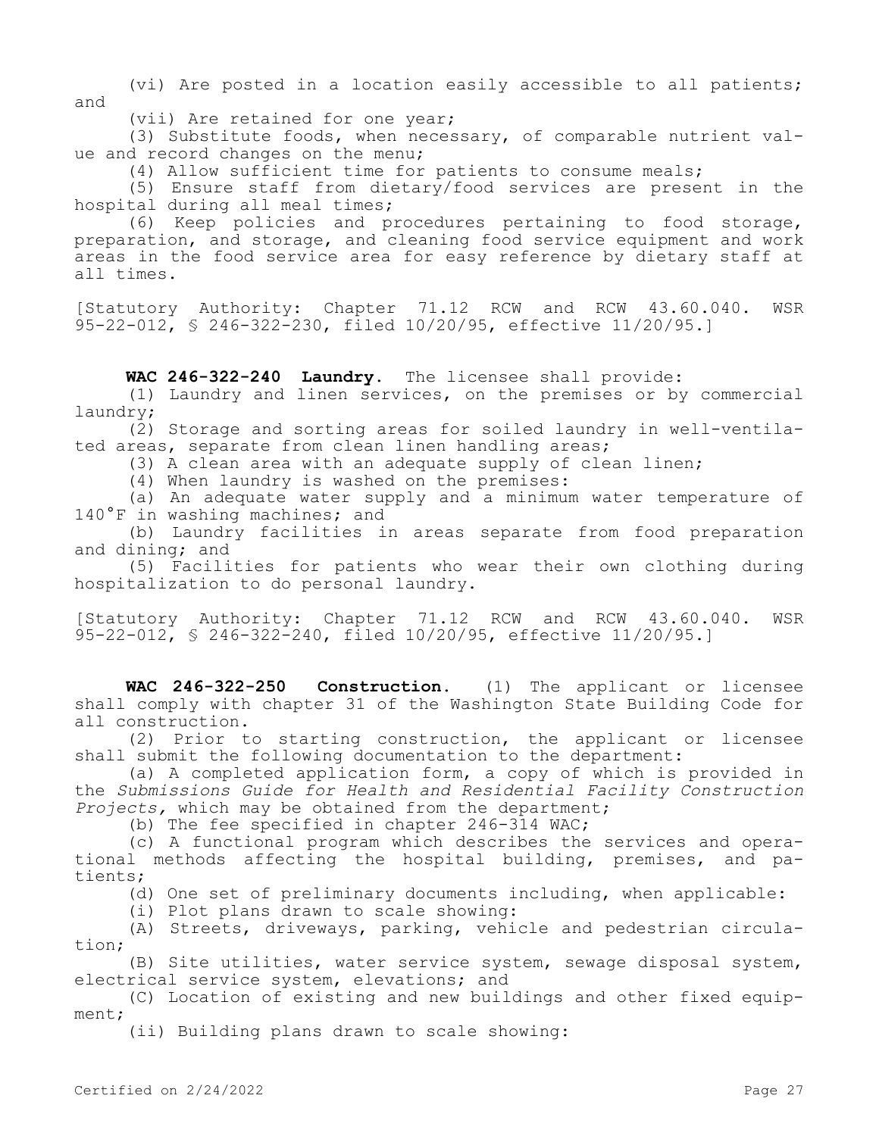(vi) Are posted in a location easily accessible to all patients; and

(vii) Are retained for one year;

(3) Substitute foods, when necessary, of comparable nutrient value and record changes on the menu;

(4) Allow sufficient time for patients to consume meals;

(5) Ensure staff from dietary/food services are present in the hospital during all meal times;

(6) Keep policies and procedures pertaining to food storage, preparation, and storage, and cleaning food service equipment and work areas in the food service area for easy reference by dietary staff at all times.

[Statutory Authority: Chapter 71.12 RCW and RCW 43.60.040. WSR 95-22-012, § 246-322-230, filed 10/20/95, effective 11/20/95.]

**WAC 246-322-240 Laundry.** The licensee shall provide:

(1) Laundry and linen services, on the premises or by commercial laundry;

(2) Storage and sorting areas for soiled laundry in well-ventilated areas, separate from clean linen handling areas;

(3) A clean area with an adequate supply of clean linen;

(4) When laundry is washed on the premises:

(a) An adequate water supply and a minimum water temperature of 140°F in washing machines; and

(b) Laundry facilities in areas separate from food preparation and dining; and

(5) Facilities for patients who wear their own clothing during hospitalization to do personal laundry.

[Statutory Authority: Chapter 71.12 RCW and RCW 43.60.040. WSR 95-22-012, § 246-322-240, filed 10/20/95, effective 11/20/95.]

**WAC 246-322-250 Construction.** (1) The applicant or licensee shall comply with chapter 31 of the Washington State Building Code for all construction.

(2) Prior to starting construction, the applicant or licensee shall submit the following documentation to the department:

(a) A completed application form, a copy of which is provided in the *Submissions Guide for Health and Residential Facility Construction Projects,* which may be obtained from the department;

(b) The fee specified in chapter 246-314 WAC;

(c) A functional program which describes the services and operational methods affecting the hospital building, premises, and patients;

(d) One set of preliminary documents including, when applicable:

(i) Plot plans drawn to scale showing:

(A) Streets, driveways, parking, vehicle and pedestrian circulation;

(B) Site utilities, water service system, sewage disposal system, electrical service system, elevations; and

(C) Location of existing and new buildings and other fixed equipment;

(ii) Building plans drawn to scale showing: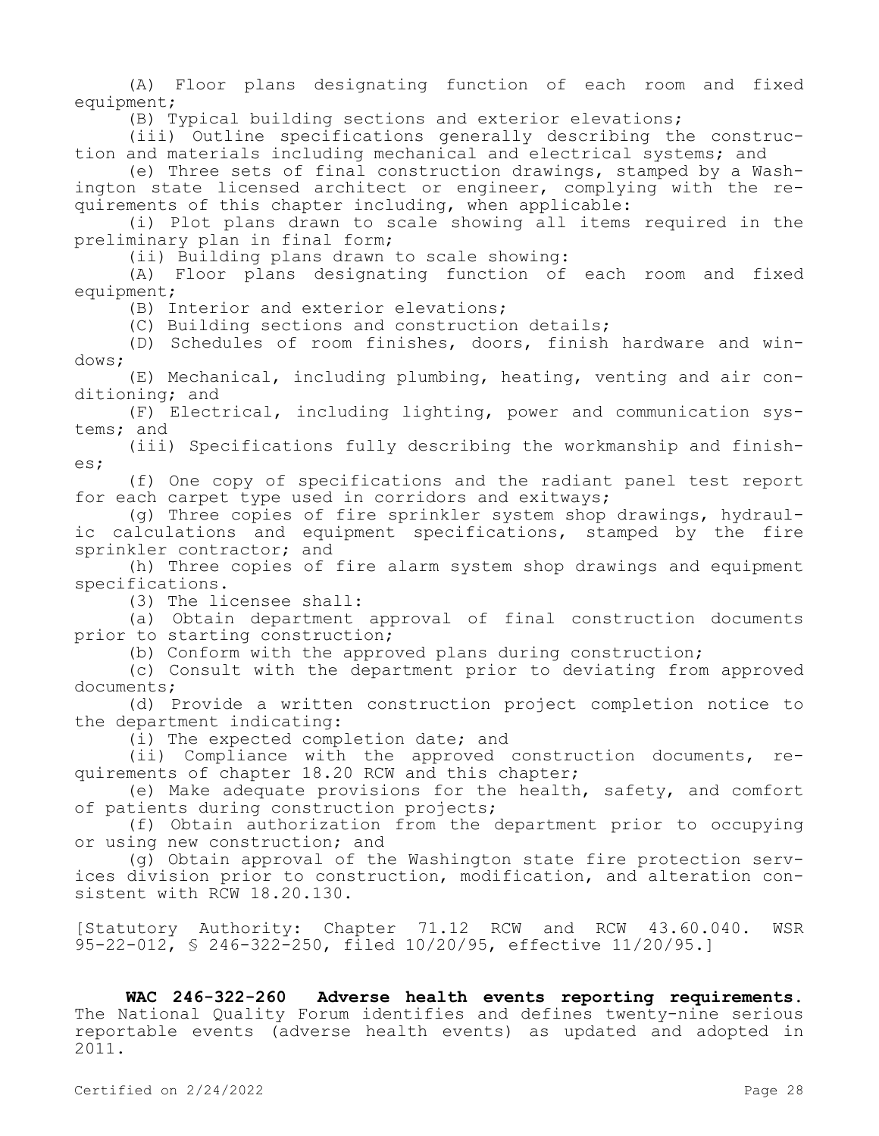(A) Floor plans designating function of each room and fixed equipment;

(B) Typical building sections and exterior elevations;

(iii) Outline specifications generally describing the construction and materials including mechanical and electrical systems; and

(e) Three sets of final construction drawings, stamped by a Washington state licensed architect or engineer, complying with the requirements of this chapter including, when applicable:

(i) Plot plans drawn to scale showing all items required in the preliminary plan in final form;

(ii) Building plans drawn to scale showing:

(A) Floor plans designating function of each room and fixed equipment;

(B) Interior and exterior elevations;

(C) Building sections and construction details;

(D) Schedules of room finishes, doors, finish hardware and windows;

(E) Mechanical, including plumbing, heating, venting and air conditioning; and

(F) Electrical, including lighting, power and communication systems; and

(iii) Specifications fully describing the workmanship and finishes;

(f) One copy of specifications and the radiant panel test report for each carpet type used in corridors and exitways;

(g) Three copies of fire sprinkler system shop drawings, hydraulic calculations and equipment specifications, stamped by the fire sprinkler contractor; and

(h) Three copies of fire alarm system shop drawings and equipment specifications.

(3) The licensee shall:

(a) Obtain department approval of final construction documents prior to starting construction;

(b) Conform with the approved plans during construction;

(c) Consult with the department prior to deviating from approved documents;

(d) Provide a written construction project completion notice to the department indicating:

(i) The expected completion date; and

(ii) Compliance with the approved construction documents, requirements of chapter 18.20 RCW and this chapter;

(e) Make adequate provisions for the health, safety, and comfort of patients during construction projects;

(f) Obtain authorization from the department prior to occupying or using new construction; and

(g) Obtain approval of the Washington state fire protection services division prior to construction, modification, and alteration consistent with RCW 18.20.130.

[Statutory Authority: Chapter 71.12 RCW and RCW 43.60.040. WSR 95-22-012, § 246-322-250, filed 10/20/95, effective 11/20/95.]

**WAC 246-322-260 Adverse health events reporting requirements.**  The National Quality Forum identifies and defines twenty-nine serious reportable events (adverse health events) as updated and adopted in 2011.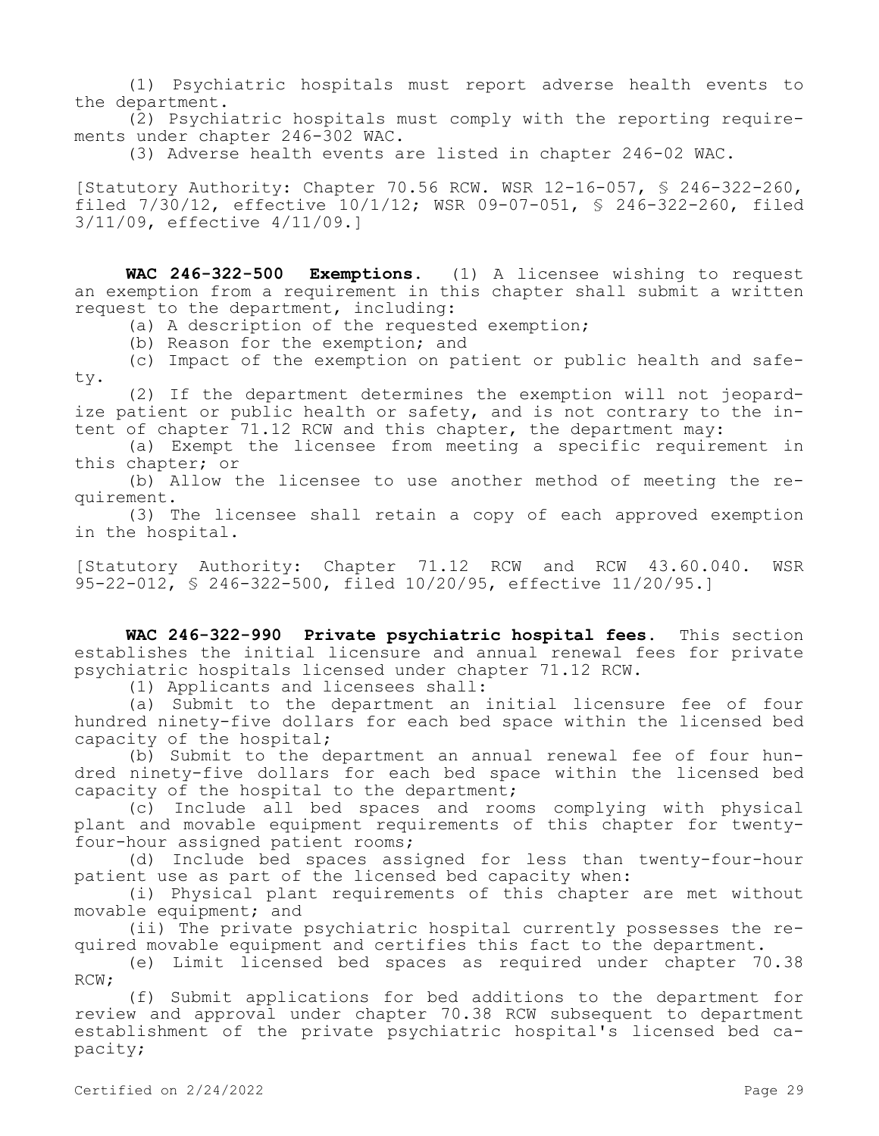(1) Psychiatric hospitals must report adverse health events to the department.

(2) Psychiatric hospitals must comply with the reporting requirements under chapter 246-302 WAC.

(3) Adverse health events are listed in chapter 246-02 WAC.

[Statutory Authority: Chapter 70.56 RCW. WSR 12-16-057, § 246-322-260, filed 7/30/12, effective 10/1/12; WSR 09-07-051, § 246-322-260, filed 3/11/09, effective 4/11/09.]

**WAC 246-322-500 Exemptions.** (1) A licensee wishing to request an exemption from a requirement in this chapter shall submit a written request to the department, including:

(a) A description of the requested exemption;

(b) Reason for the exemption; and

(c) Impact of the exemption on patient or public health and safety.

(2) If the department determines the exemption will not jeopardize patient or public health or safety, and is not contrary to the intent of chapter 71.12 RCW and this chapter, the department may:

(a) Exempt the licensee from meeting a specific requirement in this chapter; or

(b) Allow the licensee to use another method of meeting the requirement.

(3) The licensee shall retain a copy of each approved exemption in the hospital.

[Statutory Authority: Chapter 71.12 RCW and RCW 43.60.040. WSR 95-22-012, § 246-322-500, filed 10/20/95, effective 11/20/95.]

**WAC 246-322-990 Private psychiatric hospital fees.** This section establishes the initial licensure and annual renewal fees for private psychiatric hospitals licensed under chapter 71.12 RCW.

(1) Applicants and licensees shall:

(a) Submit to the department an initial licensure fee of four hundred ninety-five dollars for each bed space within the licensed bed capacity of the hospital;

(b) Submit to the department an annual renewal fee of four hundred ninety-five dollars for each bed space within the licensed bed capacity of the hospital to the department;

(c) Include all bed spaces and rooms complying with physical plant and movable equipment requirements of this chapter for twentyfour-hour assigned patient rooms;

(d) Include bed spaces assigned for less than twenty-four-hour patient use as part of the licensed bed capacity when:

(i) Physical plant requirements of this chapter are met without movable equipment; and

(ii) The private psychiatric hospital currently possesses the required movable equipment and certifies this fact to the department.

(e) Limit licensed bed spaces as required under chapter 70.38 RCW;

(f) Submit applications for bed additions to the department for review and approval under chapter 70.38 RCW subsequent to department establishment of the private psychiatric hospital's licensed bed capacity;